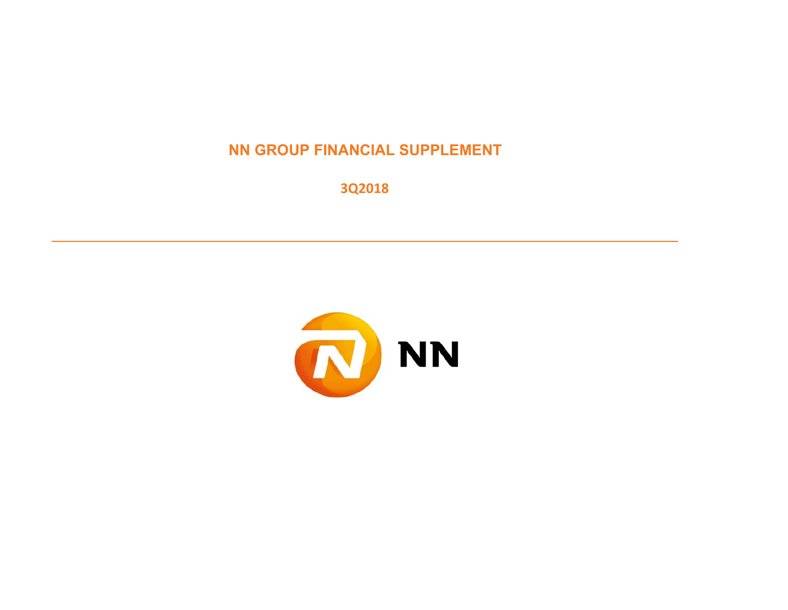## **NN GROUP FINANCIAL SUPPLEMENT**

**3Q2018**

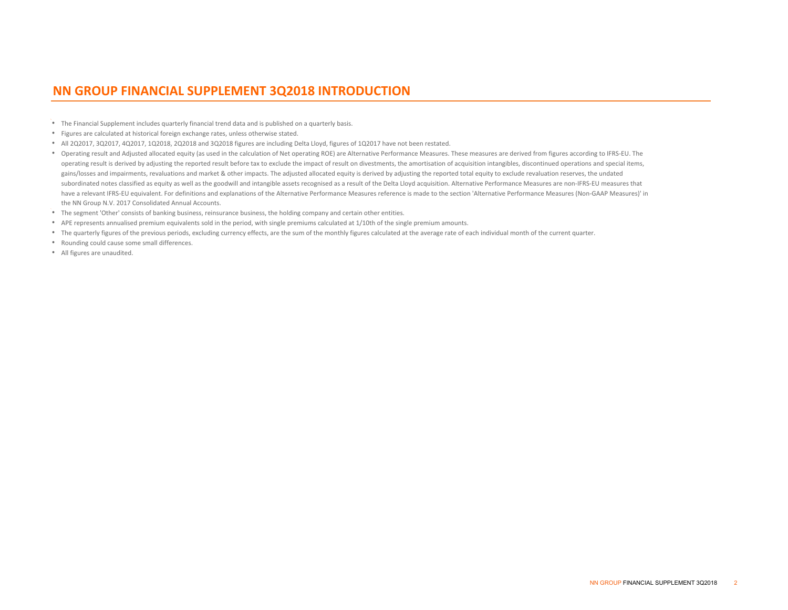### **NN GROUP FINANCIAL SUPPLEMENT 3Q2018 INTRODUCTION**

- The Financial Supplement includes quarterly financial trend data and is published on a quarterly basis.
- Figures are calculated at historical foreign exchange rates, unless otherwise stated.
- All 2Q2017, 3Q2017, 4Q2017, 1Q2018, 2Q2018 and 3Q2018 figures are including Delta Lloyd, figures of 1Q2017 have not been restated.
- Operating result and Adjusted allocated equity (as used in the calculation of Net operating ROE) are Alternative Performance Measures. These measures are derived from figures according to IFRS‐EU. The operating result is derived by adjusting the reported result before tax to exclude the impact of result on divestments, the amortisation of acquisition intangibles, discontinued operations and special items, gains/losses and impairments, revaluations and market & other impacts. The adjusted allocated equity is derived by adjusting the reported total equity to exclude revaluation reserves, the undated subordinated notes classified as equity as well as the goodwill and intangible assets recognised as a result of the Delta Lloyd acquisition. Alternative Performance Measures are non-IFRS‐EU measures that have a relevant IFRS-EU equivalent. For definitions and explanations of the Alternative Performance Measures reference is made to the section 'Alternative Performance Measures (Non-GAAP Measures)' in the NN Group N.V. 2017 Consolidated Annual Accounts.
- The segment 'Other' consists of banking business, reinsurance business, the holding company and certain other entities.
- APE represents annualised premium equivalents sold in the period, with single premiums calculated at 1/10th of the single premium amounts.
- The quarterly figures of the previous periods, excluding currency effects, are the sum of the monthly figures calculated at the average rate of each individual month of the current quarter.
- Rounding could cause some small differences.
- All figures are unaudited.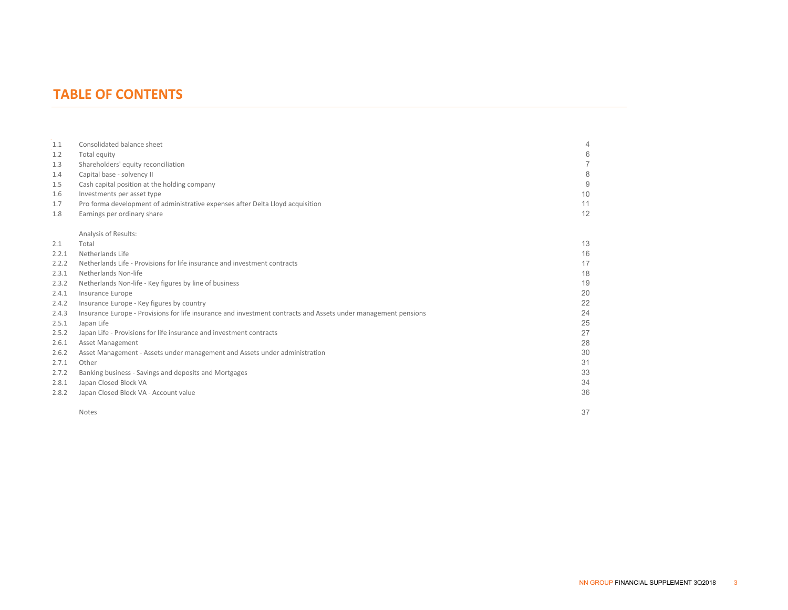### **TABLE OF CONTENTS**

| 1.1   | Consolidated balance sheet                                                                                     | 4  |
|-------|----------------------------------------------------------------------------------------------------------------|----|
| 1.2   | Total equity                                                                                                   | 6  |
| 1.3   | Shareholders' equity reconciliation                                                                            |    |
| 1.4   | Capital base - solvency II                                                                                     | 8  |
| 1.5   | Cash capital position at the holding company                                                                   | 9  |
| 1.6   | Investments per asset type                                                                                     | 10 |
| 1.7   | Pro forma development of administrative expenses after Delta Lloyd acquisition                                 | 11 |
| 1.8   | Earnings per ordinary share                                                                                    | 12 |
|       | Analysis of Results:                                                                                           |    |
| 2.1   | Total                                                                                                          | 13 |
| 2.2.1 | Netherlands Life                                                                                               | 16 |
| 2.2.2 | Netherlands Life - Provisions for life insurance and investment contracts                                      | 17 |
| 2.3.1 | Netherlands Non-life                                                                                           | 18 |
| 2.3.2 | Netherlands Non-life - Key figures by line of business                                                         | 19 |
| 2.4.1 | Insurance Europe                                                                                               | 20 |
| 2.4.2 | Insurance Europe - Key figures by country                                                                      | 22 |
| 2.4.3 | Insurance Europe - Provisions for life insurance and investment contracts and Assets under management pensions | 24 |
| 2.5.1 | Japan Life                                                                                                     | 25 |
| 2.5.2 | Japan Life - Provisions for life insurance and investment contracts                                            | 27 |
| 2.6.1 | <b>Asset Management</b>                                                                                        | 28 |
| 2.6.2 | Asset Management - Assets under management and Assets under administration                                     | 30 |
| 2.7.1 | Other                                                                                                          | 31 |
| 2.7.2 | Banking business - Savings and deposits and Mortgages                                                          | 33 |
| 2.8.1 | Japan Closed Block VA                                                                                          | 34 |
| 2.8.2 | Japan Closed Block VA - Account value                                                                          | 36 |
|       | <b>Notes</b>                                                                                                   | 37 |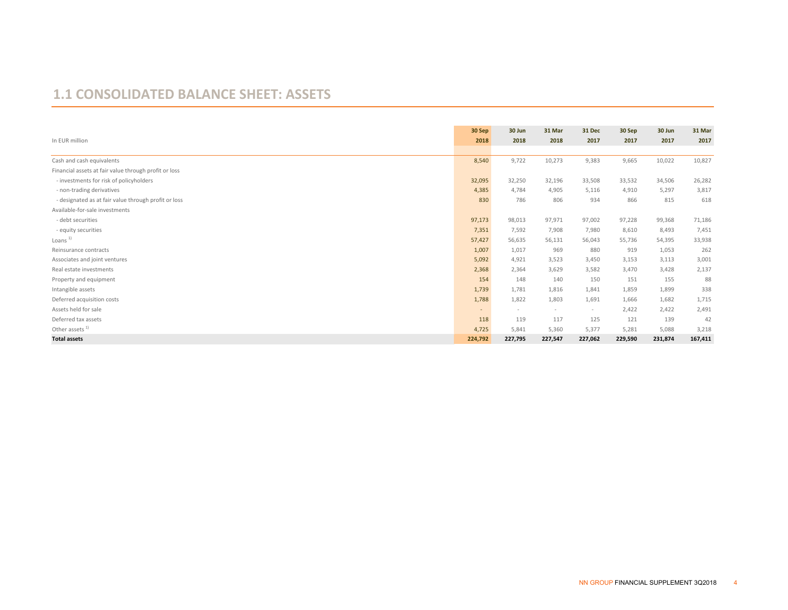#### **1.1 CONSOLIDATED BALANCE SHEET: ASSETS**

|                                                       | 30 Sep  | 30 Jun         | 31 Mar                   | 31 Dec  | 30 Sep  | 30 Jun  | 31 Mar  |
|-------------------------------------------------------|---------|----------------|--------------------------|---------|---------|---------|---------|
| In EUR million                                        | 2018    | 2018           | 2018                     | 2017    | 2017    | 2017    | 2017    |
|                                                       |         |                |                          |         |         |         |         |
| Cash and cash equivalents                             | 8,540   | 9,722          | 10,273                   | 9,383   | 9,665   | 10,022  | 10,827  |
| Financial assets at fair value through profit or loss |         |                |                          |         |         |         |         |
| - investments for risk of policyholders               | 32,095  | 32,250         | 32,196                   | 33,508  | 33,532  | 34,506  | 26,282  |
| - non-trading derivatives                             | 4,385   | 4,784          | 4,905                    | 5,116   | 4,910   | 5,297   | 3,817   |
| - designated as at fair value through profit or loss  | 830     | 786            | 806                      | 934     | 866     | 815     | 618     |
| Available-for-sale investments                        |         |                |                          |         |         |         |         |
| - debt securities                                     | 97,173  | 98,013         | 97,971                   | 97,002  | 97,228  | 99,368  | 71,186  |
| - equity securities                                   | 7,351   | 7,592          | 7,908                    | 7,980   | 8,610   | 8,493   | 7,451   |
| Loans $1$                                             | 57,427  | 56,635         | 56,131                   | 56,043  | 55,736  | 54,395  | 33,938  |
| Reinsurance contracts                                 | 1,007   | 1,017          | 969                      | 880     | 919     | 1,053   | 262     |
| Associates and joint ventures                         | 5,092   | 4,921          | 3,523                    | 3,450   | 3,153   | 3,113   | 3,001   |
| Real estate investments                               | 2,368   | 2,364          | 3,629                    | 3,582   | 3,470   | 3,428   | 2,137   |
| Property and equipment                                | 154     | 148            | 140                      | 150     | 151     | 155     | 88      |
| Intangible assets                                     | 1,739   | 1,781          | 1,816                    | 1,841   | 1,859   | 1,899   | 338     |
| Deferred acquisition costs                            | 1,788   | 1,822          | 1,803                    | 1,691   | 1,666   | 1,682   | 1,715   |
| Assets held for sale                                  | $\sim$  | $\overline{a}$ | $\overline{\phantom{a}}$ | $\sim$  | 2,422   | 2,422   | 2,491   |
| Deferred tax assets                                   | 118     | 119            | 117                      | 125     | 121     | 139     | 42      |
| Other assets $1$                                      | 4,725   | 5,841          | 5,360                    | 5,377   | 5,281   | 5,088   | 3,218   |
| <b>Total assets</b>                                   | 224,792 | 227,795        | 227,547                  | 227,062 | 229,590 | 231,874 | 167,411 |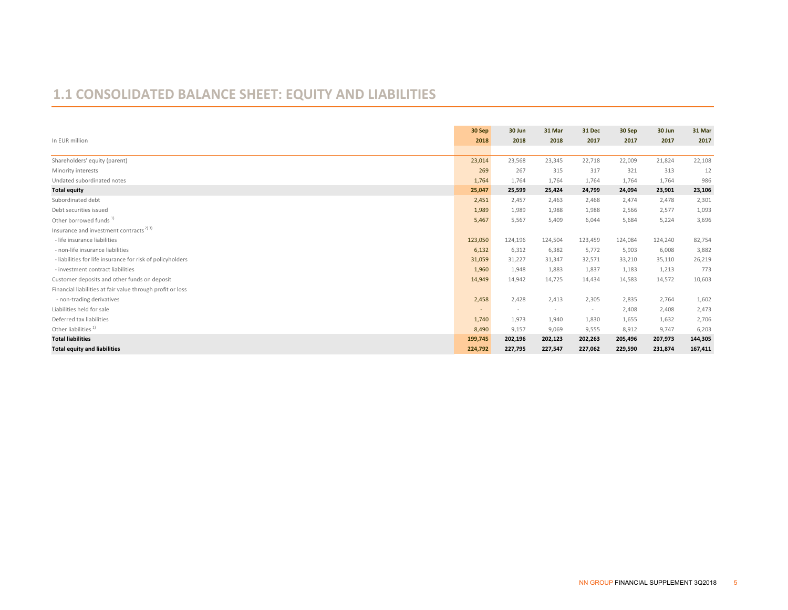# **1.1 CONSOLIDATED BALANCE SHEET: EQUITY AND LIABILITIES**

| In EUR million                                             | 30 Sep<br>2018 | 30 Jun<br>2018 | 31 Mar<br>2018 | <b>31 Dec</b><br>2017 | 30 Sep<br>2017 | 30 Jun<br>2017 | 31 Mar<br>2017 |
|------------------------------------------------------------|----------------|----------------|----------------|-----------------------|----------------|----------------|----------------|
|                                                            |                |                |                |                       |                |                |                |
| Shareholders' equity (parent)                              | 23,014         | 23,568         | 23,345         | 22,718                | 22,009         | 21,824         | 22,108         |
| Minority interests                                         | 269            | 267            | 315            | 317                   | 321            | 313            | 12             |
| Undated subordinated notes                                 | 1,764          | 1,764          | 1,764          | 1,764                 | 1,764          | 1,764          | 986            |
| <b>Total equity</b>                                        | 25,047         | 25,599         | 25,424         | 24,799                | 24,094         | 23,901         | 23,106         |
| Subordinated debt                                          | 2,451          | 2,457          | 2,463          | 2,468                 | 2,474          | 2,478          | 2,301          |
| Debt securities issued                                     | 1,989          | 1,989          | 1,988          | 1,988                 | 2,566          | 2,577          | 1,093          |
| Other borrowed funds <sup>1)</sup>                         | 5,467          | 5,567          | 5,409          | 6,044                 | 5,684          | 5,224          | 3,696          |
| Insurance and investment contracts <sup>2) 3)</sup>        |                |                |                |                       |                |                |                |
| - life insurance liabilities                               | 123,050        | 124,196        | 124,504        | 123,459               | 124,084        | 124,240        | 82,754         |
| - non-life insurance liabilities                           | 6,132          | 6,312          | 6,382          | 5,772                 | 5,903          | 6,008          | 3,882          |
| - liabilities for life insurance for risk of policyholders | 31,059         | 31,227         | 31,347         | 32,571                | 33,210         | 35,110         | 26,219         |
| - investment contract liabilities                          | 1,960          | 1,948          | 1,883          | 1,837                 | 1,183          | 1,213          | 773            |
| Customer deposits and other funds on deposit               | 14,949         | 14,942         | 14,725         | 14,434                | 14,583         | 14,572         | 10,603         |
| Financial liabilities at fair value through profit or loss |                |                |                |                       |                |                |                |
| - non-trading derivatives                                  | 2,458          | 2,428          | 2,413          | 2,305                 | 2,835          | 2,764          | 1,602          |
| Liabilities held for sale                                  | $\sim$         | $\sim$         | $\sim$         | $\sim$                | 2,408          | 2,408          | 2,473          |
| Deferred tax liabilities                                   | 1,740          | 1,973          | 1,940          | 1,830                 | 1,655          | 1,632          | 2,706          |
| Other liabilities <sup>1)</sup>                            | 8,490          | 9,157          | 9,069          | 9,555                 | 8,912          | 9,747          | 6,203          |
| <b>Total liabilities</b>                                   | 199,745        | 202,196        | 202,123        | 202,263               | 205,496        | 207,973        | 144,305        |
| <b>Total equity and liabilities</b>                        | 224,792        | 227,795        | 227,547        | 227,062               | 229,590        | 231,874        | 167,411        |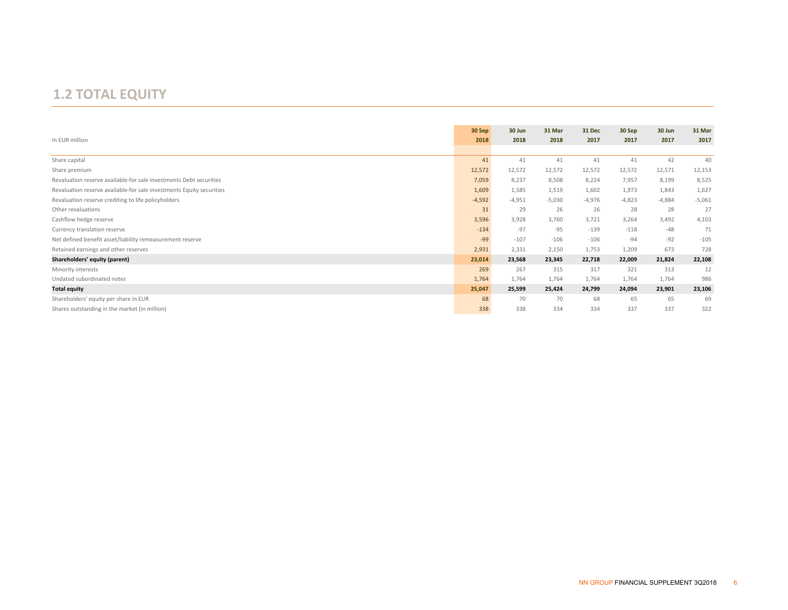## **1.2 TOTAL EQUITY**

|                                                                      | 30 Sep   | 30 Jun   | 31 Mar   | 31 Dec   | 30 Sep   | 30 Jun   | 31 Mar   |
|----------------------------------------------------------------------|----------|----------|----------|----------|----------|----------|----------|
| In EUR million                                                       | 2018     | 2018     | 2018     | 2017     | 2017     | 2017     | 2017     |
|                                                                      |          |          |          |          |          |          |          |
| Share capital                                                        | 41       | 41       | 41       | 41       | 41       | 42       | 40       |
| Share premium                                                        | 12,572   | 12,572   | 12,572   | 12,572   | 12,572   | 12,571   | 12,153   |
| Revaluation reserve available-for sale investments Debt securities   | 7,059    | 8,237    | 8,508    | 8,224    | 7,957    | 8,199    | 8,525    |
| Revaluation reserve available-for sale investments Equity securities | 1,609    | 1,585    | 1,519    | 1,602    | 1,973    | 1,843    | 1,627    |
| Revaluation reserve crediting to life policyholders                  | $-4,592$ | $-4,951$ | $-5,030$ | $-4,976$ | $-4,823$ | $-4,884$ | $-5,061$ |
| Other revaluations                                                   | 31       | 29       | 26       | 26       | 28       | 28       | 27       |
| Cashflow hedge reserve                                               | 3,596    | 3,928    | 3,760    | 3,721    | 3,264    | 3,492    | 4,103    |
| Currency translation reserve                                         | $-134$   | $-97$    | $-95$    | $-139$   | $-118$   | $-48$    | 71       |
| Net defined benefit asset/liability remeasurement reserve            | $-99$    | $-107$   | $-106$   | $-106$   | $-94$    | $-92$    | $-105$   |
| Retained earnings and other reserves                                 | 2,931    | 2,331    | 2,150    | 1,753    | 1,209    | 673      | 728      |
| Shareholders' equity (parent)                                        | 23,014   | 23,568   | 23,345   | 22,718   | 22,009   | 21,824   | 22,108   |
| Minority interests                                                   | 269      | 267      | 315      | 317      | 321      | 313      | 12       |
| Undated subordinated notes                                           | 1,764    | 1,764    | 1,764    | 1,764    | 1,764    | 1,764    | 986      |
| <b>Total equity</b>                                                  | 25,047   | 25,599   | 25,424   | 24,799   | 24,094   | 23,901   | 23,106   |
| Shareholders' equity per share in EUR                                | 68       | 70       | 70       | 68       | 65       | 65       | 69       |
| Shares outstanding in the market (in million)                        | 338      | 338      | 334      | 334      | 337      | 337      | 322      |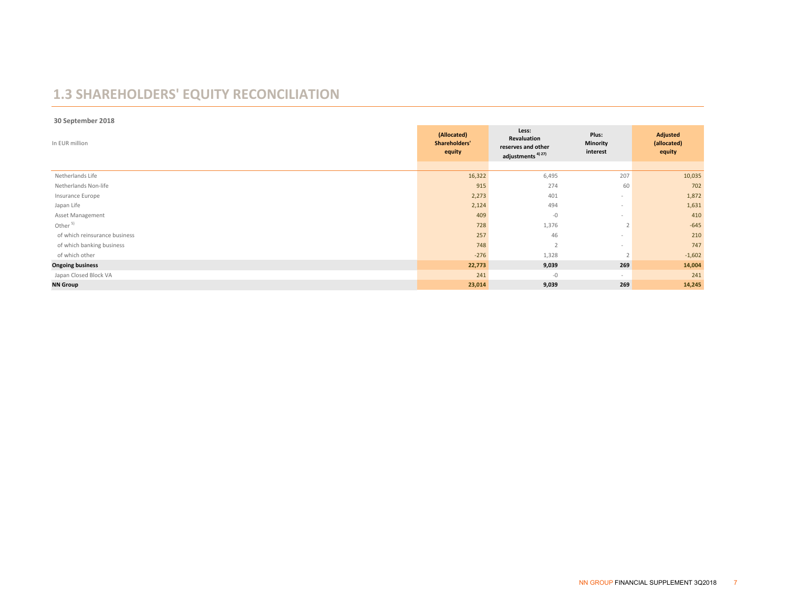# **1.3 SHAREHOLDERS' EQUITY RECONCILIATION**

 **30 September 2018**

| In EUR million                | (Allocated)<br>Shareholders'<br>equity | Less:<br>Revaluation<br>reserves and other<br>adjustments <sup>4) 27)</sup> | Plus:<br><b>Minority</b><br>interest | Adjusted<br>(allocated)<br>equity |
|-------------------------------|----------------------------------------|-----------------------------------------------------------------------------|--------------------------------------|-----------------------------------|
|                               |                                        |                                                                             |                                      |                                   |
| Netherlands Life              | 16,322                                 | 6,495                                                                       | 207                                  | 10,035                            |
| Netherlands Non-life          | 915                                    | 274                                                                         | 60                                   | 702                               |
| Insurance Europe              | 2,273                                  | 401                                                                         | $\sim$                               | 1,872                             |
| Japan Life                    | 2,124                                  | 494                                                                         | $\sim$                               | 1,631                             |
| Asset Management              | 409                                    | $-0$                                                                        | $\sim$                               | 410                               |
| Other <sup>5)</sup>           | 728                                    | 1,376                                                                       |                                      | $-645$                            |
| of which reinsurance business | 257                                    | 46                                                                          | $\sim$                               | 210                               |
| of which banking business     | 748                                    | $\overline{\phantom{a}}$                                                    | $\sim$                               | 747                               |
| of which other                | $-276$                                 | 1,328                                                                       |                                      | $-1,602$                          |
| <b>Ongoing business</b>       | 22,773                                 | 9,039                                                                       | 269                                  | 14,004                            |
| Japan Closed Block VA         | 241                                    | $-0$                                                                        | $\sim$                               | 241                               |
| <b>NN Group</b>               | 23,014                                 | 9,039                                                                       | 269                                  | 14,245                            |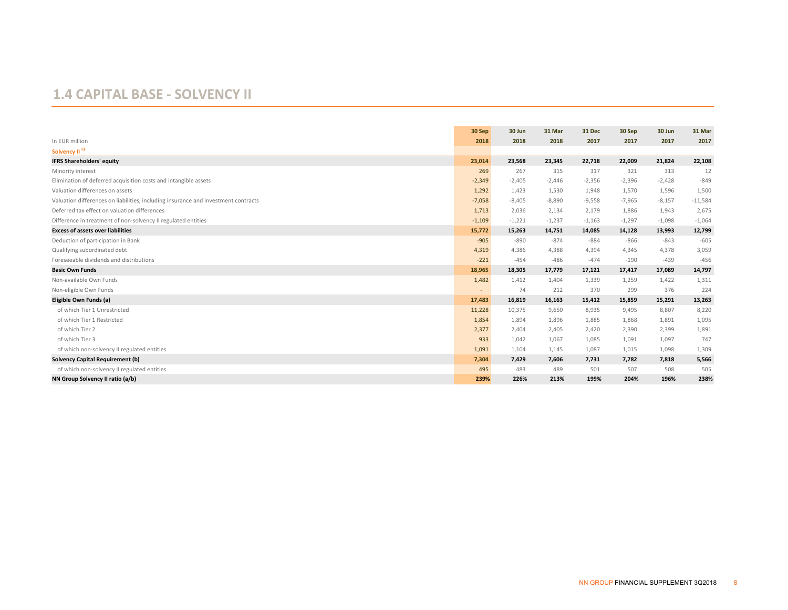#### **1.4 CAPITAL BASE ‐ SOLVENCY II**

|                                                                                    | 30 Sep         | 30 Jun   | 31 Mar   | 31 Dec   | 30 Sep   | 30 Jun   | 31 Mar    |
|------------------------------------------------------------------------------------|----------------|----------|----------|----------|----------|----------|-----------|
| In EUR million                                                                     | 2018           | 2018     | 2018     | 2017     | 2017     | 2017     | 2017      |
| Solvency II <sup>6)</sup>                                                          |                |          |          |          |          |          |           |
| <b>IFRS Shareholders' equity</b>                                                   | 23,014         | 23,568   | 23,345   | 22,718   | 22,009   | 21,824   | 22,108    |
| Minority interest                                                                  | 269            | 267      | 315      | 317      | 321      | 313      | 12        |
| Elimination of deferred acquisition costs and intangible assets                    | $-2,349$       | $-2,405$ | $-2.446$ | $-2,356$ | $-2,396$ | $-2,428$ | $-849$    |
| Valuation differences on assets                                                    | 1,292          | 1,423    | 1,530    | 1,948    | 1,570    | 1,596    | 1,500     |
| Valuation differences on liabilities, including insurance and investment contracts | $-7,058$       | $-8,405$ | $-8,890$ | $-9,558$ | $-7,965$ | $-8,157$ | $-11,584$ |
| Deferred tax effect on valuation differences                                       | 1,713          | 2,036    | 2,134    | 2,179    | 1,886    | 1,943    | 2,675     |
| Difference in treatment of non-solvency II regulated entities                      | $-1,109$       | $-1,221$ | $-1,237$ | $-1,163$ | $-1,297$ | $-1,098$ | $-1,064$  |
| <b>Excess of assets over liabilities</b>                                           | 15,772         | 15,263   | 14,751   | 14,085   | 14,128   | 13,993   | 12,799    |
| Deduction of participation in Bank                                                 | $-905$         | $-890$   | $-874$   | $-884$   | $-866$   | $-843$   | $-605$    |
| Qualifying subordinated debt                                                       | 4,319          | 4,386    | 4,388    | 4,394    | 4,345    | 4,378    | 3,059     |
| Foreseeable dividends and distributions                                            | $-221$         | $-454$   | $-486$   | $-474$   | $-190$   | $-439$   | $-456$    |
| <b>Basic Own Funds</b>                                                             | 18,965         | 18,305   | 17,779   | 17,121   | 17,417   | 17,089   | 14,797    |
| Non-available Own Funds                                                            | 1,482          | 1,412    | 1,404    | 1,339    | 1,259    | 1,422    | 1,311     |
| Non-eligible Own Funds                                                             | $\blacksquare$ | 74       | 212      | 370      | 299      | 376      | 224       |
| Eligible Own Funds (a)                                                             | 17,483         | 16,819   | 16,163   | 15,412   | 15,859   | 15,291   | 13,263    |
| of which Tier 1 Unrestricted                                                       | 11,228         | 10,375   | 9,650    | 8,935    | 9,495    | 8,807    | 8,220     |
| of which Tier 1 Restricted                                                         | 1,854          | 1,894    | 1,896    | 1.885    | 1.868    | 1.891    | 1,095     |
| of which Tier 2                                                                    | 2,377          | 2,404    | 2,405    | 2,420    | 2,390    | 2,399    | 1,891     |
| of which Tier 3                                                                    | 933            | 1,042    | 1,067    | 1,085    | 1,091    | 1,097    | 747       |
| of which non-solvency II regulated entities                                        | 1,091          | 1,104    | 1,145    | 1,087    | 1,015    | 1,098    | 1,309     |
| <b>Solvency Capital Requirement (b)</b>                                            | 7,304          | 7,429    | 7,606    | 7,731    | 7,782    | 7,818    | 5,566     |
| of which non-solvency II regulated entities                                        | 495            | 483      | 489      | 501      | 507      | 508      | 505       |
| NN Group Solvency II ratio (a/b)                                                   | 239%           | 226%     | 213%     | 199%     | 204%     | 196%     | 238%      |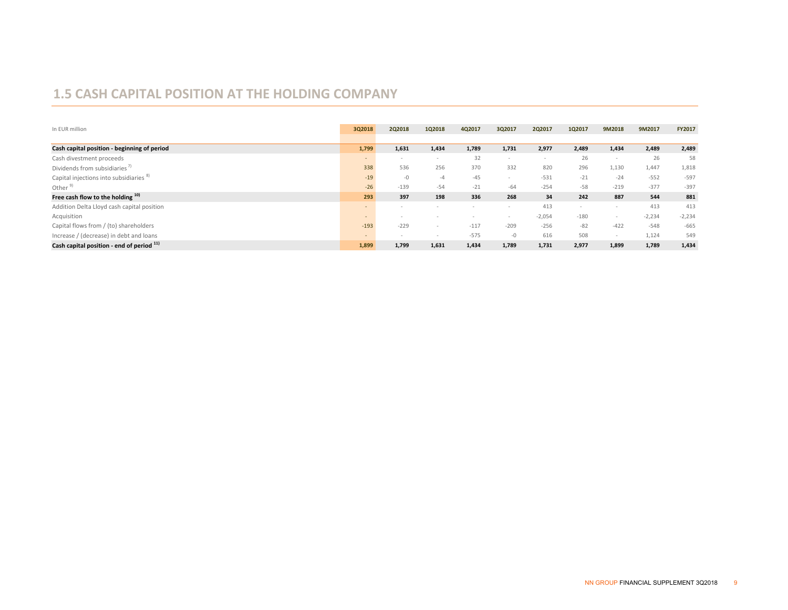#### **1.5 CASH CAPITAL POSITION AT THE HOLDING COMPANY**

| In EUR million                                     | 3Q2018 | 2Q2018 | 1Q2018 | 4Q2017 | 3Q2017 | 2Q2017   | 1Q2017 | 9M2018                   | 9M2017   | FY2017   |
|----------------------------------------------------|--------|--------|--------|--------|--------|----------|--------|--------------------------|----------|----------|
|                                                    |        |        |        |        |        |          |        |                          |          |          |
| Cash capital position - beginning of period        | 1,799  | 1,631  | 1,434  | 1,789  | 1,731  | 2,977    | 2,489  | 1,434                    | 2,489    | 2,489    |
| Cash divestment proceeds                           | $\sim$ | $\sim$ |        | 32     |        |          | 26     | $\overline{\phantom{a}}$ | 26       | 58       |
| Dividends from subsidiaries"                       | 338    | 536    | 256    | 370    | 332    | 820      | 296    | 1,130                    | 1,447    | 1,818    |
| Capital injections into subsidiaries <sup>8)</sup> | $-19$  | $-0$   | -4     | $-45$  |        | $-531$   | $-21$  | $-24$                    | $-552$   | $-597$   |
| Other <sup>9</sup>                                 | $-26$  | $-139$ | $-54$  | $-21$  | $-64$  | $-254$   | $-58$  | $-219$                   | $-377$   | $-397$   |
| Free cash flow to the holding 10)                  | 293    | 397    | 198    | 336    | 268    | 34       | 242    | 887                      | 544      | 881      |
| Addition Delta Lloyd cash capital position         | $\sim$ | $\sim$ |        |        |        | 413      |        | $\overline{\phantom{a}}$ | 413      | 413      |
| Acquisition                                        | $\sim$ | $\sim$ |        |        |        | $-2,054$ | $-180$ | $\sim$                   | $-2,234$ | $-2,234$ |
| Capital flows from / (to) shareholders             | $-193$ | $-229$ | $\sim$ | $-117$ | $-209$ | $-256$   | $-82$  | $-422$                   | $-548$   | $-665$   |
| Increase / (decrease) in debt and loans            | $\sim$ | $\sim$ |        | $-575$ | $-0$   | 616      | 508    | $\sim$                   | 1,124    | 549      |
| Cash capital position - end of period 11)          | 1,899  | 1,799  | 1,631  | 1,434  | 1,789  | 1,731    | 2,977  | 1,899                    | 1,789    | 1,434    |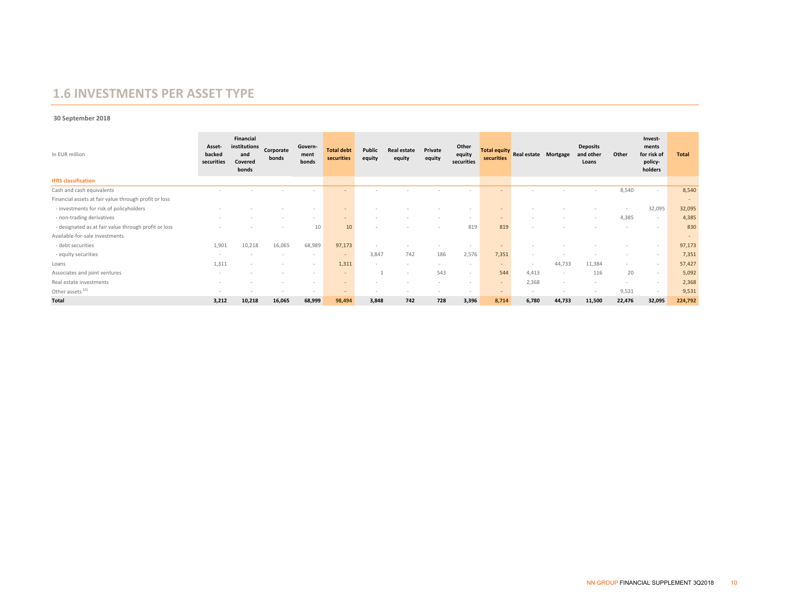#### **1.6 INVESTMENTS PER ASSET TYPE**

#### **30 September 2018**

| In EUR million                                        | Asset-<br>backed<br>securities | <b>Financial</b><br>institutions<br>and<br>Covered<br>bonds | Corporate<br>bonds | Govern-<br>ment<br>bonds | <b>Total debt</b><br>securities | Public<br>equity | <b>Real estate</b><br>equity | Private<br>equity | Other<br>equity<br>securities | securities | Total equity<br>Real estate Mortgage |        | <b>Deposits</b><br>and other<br>Loans | Other  | Invest-<br>ments<br>for risk of<br>policy-<br>holders | <b>Total</b> |
|-------------------------------------------------------|--------------------------------|-------------------------------------------------------------|--------------------|--------------------------|---------------------------------|------------------|------------------------------|-------------------|-------------------------------|------------|--------------------------------------|--------|---------------------------------------|--------|-------------------------------------------------------|--------------|
| <b>IFRS</b> classification                            |                                |                                                             |                    |                          |                                 |                  |                              |                   |                               |            |                                      |        |                                       |        |                                                       |              |
| Cash and cash equivalents                             |                                |                                                             |                    |                          |                                 |                  |                              |                   |                               |            |                                      |        |                                       | 8,540  | $\sim$                                                | 8,540        |
| Financial assets at fair value through profit or loss |                                |                                                             |                    |                          |                                 |                  |                              |                   |                               |            |                                      |        |                                       |        |                                                       | $\sim$       |
| - investments for risk of policyholders               |                                |                                                             |                    | $\sim$                   |                                 |                  |                              |                   | $\sim$                        |            |                                      |        |                                       | $\sim$ | 32,095                                                | 32,095       |
| - non-trading derivatives                             |                                |                                                             |                    | $\sim$                   | ٠                               |                  |                              |                   | $\sim$                        | $\sim$     |                                      |        |                                       | 4,385  | $\overline{\phantom{a}}$                              | 4,385        |
| - designated as at fair value through profit or loss  |                                |                                                             |                    | 10                       | 10                              | $\sim$           |                              | -                 | 819                           | 819        |                                      |        |                                       |        | $\sim$                                                | 830          |
| Available-for-sale investments                        |                                |                                                             |                    |                          |                                 |                  |                              |                   |                               |            |                                      |        |                                       |        |                                                       | $\sim$       |
| - debt securities                                     | 1,901                          | 10,218                                                      | 16,065             | 68,989                   | 97,173                          |                  |                              |                   | -                             |            |                                      |        |                                       |        |                                                       | 97,173       |
| - equity securities                                   |                                |                                                             |                    | $\sim$                   |                                 | 3,847            | 742                          | 186               | 2,576                         | 7,351      |                                      |        |                                       |        |                                                       | 7,351        |
| Loans                                                 | 1,311                          |                                                             |                    | $\sim$                   | 1,311                           | $\sim$           |                              |                   | $\sim$                        | $\sim$     | $\sim$                               | 44,733 | 11,384                                | $\sim$ |                                                       | 57,427       |
| Associates and joint ventures                         | $\sim$                         |                                                             |                    | $\sim$                   |                                 |                  |                              | 543               | $\sim$                        | 544        | 4,413                                |        | 116                                   | 20     | $\sim$                                                | 5,092        |
| Real estate investments                               |                                |                                                             |                    | $\sim$                   | ۰.                              |                  |                              |                   | $\sim$                        |            | 2,368                                |        |                                       |        |                                                       | 2,368        |
| Other assets <sup>12)</sup>                           | $\sim$                         |                                                             |                    | $\sim$                   | $\sim$                          | $\sim$           |                              |                   | $\sim$                        | $\sim$     | $\sim$                               |        |                                       | 9,531  | . .                                                   | 9,531        |
| <b>Total</b>                                          | 3,212                          | 10,218                                                      | 16,065             | 68,999                   | 98,494                          | 3,848            | 742                          | 728               | 3,396                         | 8,714      | 6,780                                | 44,733 | 11,500                                | 22,476 | 32,095                                                | 224,792      |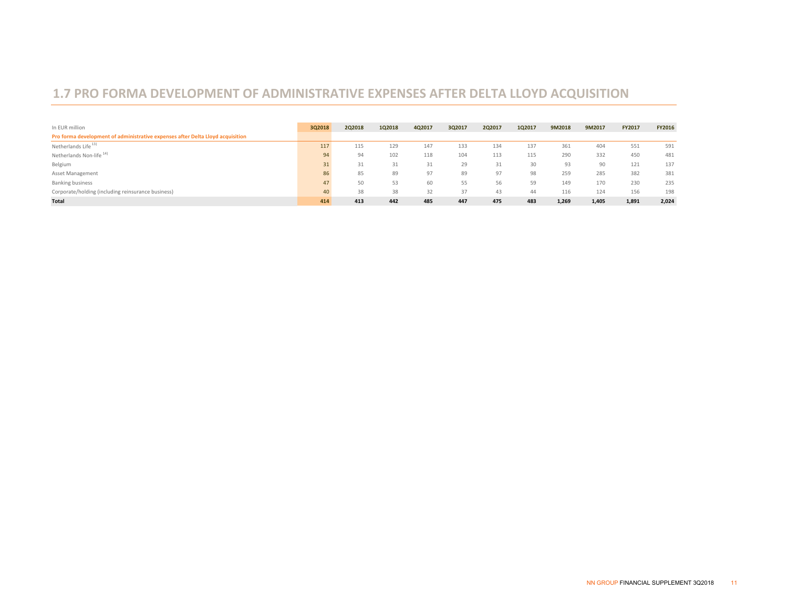### **1.7 PRO FORMA DEVELOPMENT OF ADMINISTRATIVE EXPENSES AFTER DELTA LLOYD ACQUISITION**

| In EUR million                                                                 | 3Q2018 | 2Q2018 | 1Q2018 | 4Q2017 | 3Q2017 | 2Q2017 | 1Q2017 | 9M2018 | 9M2017 | <b>FY2017</b> | FY2016 |
|--------------------------------------------------------------------------------|--------|--------|--------|--------|--------|--------|--------|--------|--------|---------------|--------|
| Pro forma development of administrative expenses after Delta Lloyd acquisition |        |        |        |        |        |        |        |        |        |               |        |
| Netherlands Life <sup>13)</sup>                                                | 117    | 115    | 129    | 147    | 133    | 134    | 137    | 361    | 404    | 551           | 591    |
| Netherlands Non-life <sup>14)</sup>                                            | 94     | 94     | 102    | 118    | 104    | 113    | 115    | 290    | 332    | 450           | 481    |
| Belgium                                                                        | 31     | 31     | 31     | 31     | 29     | 31     | 30     | 93     | 90     | 121           | 137    |
| Asset Management                                                               | 86     | 85     | 89     | 97     | 89     | 97     | 98     | 259    | 285    | 382           | 381    |
| <b>Banking business</b>                                                        | 47     | 50     | 53     | 60     | 55     | 56     | 59     | 149    | 170    | 230           | 235    |
| Corporate/holding (including reinsurance business)                             | 40     | 38     | 38     | 32     | 37     | 43     | 44     | 116    | 124    | 156           | 198    |
| Total                                                                          | 414    | 413    | 442    | 485    | 447    | 475    | 483    | 1,269  | 1,405  | 1,891         | 2,024  |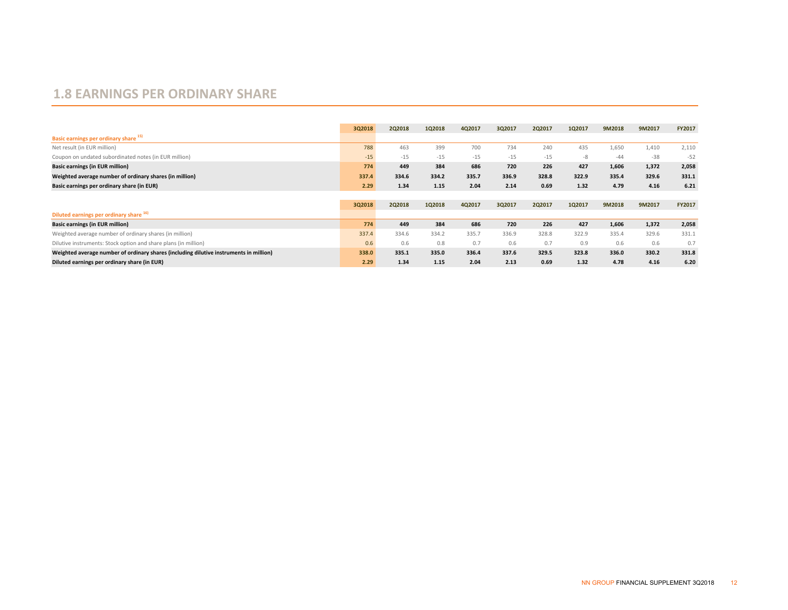#### **1.8 EARNINGS PER ORDINARY SHARE**

|                                                                                        | 3Q2018 | 2Q2018 | 1Q2018 | 4Q2017 | 3Q2017 | 2Q2017 | 1Q2017 | 9M2018 | 9M2017 | FY2017        |
|----------------------------------------------------------------------------------------|--------|--------|--------|--------|--------|--------|--------|--------|--------|---------------|
| Basic earnings per ordinary share 15)                                                  |        |        |        |        |        |        |        |        |        |               |
| Net result (in EUR million)                                                            | 788    | 463    | 399    | 700    | 734    | 240    | 435    | 1,650  | 1,410  | 2,110         |
| Coupon on undated subordinated notes (in EUR million)                                  | $-15$  | $-15$  | $-15$  | $-15$  | $-15$  | $-15$  | -8     | $-44$  | $-38$  | $-52$         |
| <b>Basic earnings (in EUR million)</b>                                                 | 774    | 449    | 384    | 686    | 720    | 226    | 427    | 1,606  | 1,372  | 2,058         |
| Weighted average number of ordinary shares (in million)                                | 337.4  | 334.6  | 334.2  | 335.7  | 336.9  | 328.8  | 322.9  | 335.4  | 329.6  | 331.1         |
| Basic earnings per ordinary share (in EUR)                                             | 2.29   | 1.34   | 1.15   | 2.04   | 2.14   | 0.69   | 1.32   | 4.79   | 4.16   | 6.21          |
|                                                                                        |        |        |        |        |        |        |        |        |        |               |
|                                                                                        | 3Q2018 | 2Q2018 | 1Q2018 | 4Q2017 | 3Q2017 | 2Q2017 | 1Q2017 | 9M2018 | 9M2017 | <b>FY2017</b> |
| Diluted earnings per ordinary share 16)                                                |        |        |        |        |        |        |        |        |        |               |
| <b>Basic earnings (in EUR million)</b>                                                 | 774    | 449    | 384    | 686    | 720    | 226    | 427    | 1,606  | 1,372  | 2,058         |
| Weighted average number of ordinary shares (in million)                                | 337.4  | 334.6  | 334.2  | 335.7  | 336.9  | 328.8  | 322.9  | 335.4  | 329.6  | 331.1         |
| Dilutive instruments: Stock option and share plans (in million)                        | 0.6    | 0.6    | 0.8    | 0.7    | 0.6    | 0.7    | 0.9    | 0.6    | 0.6    | 0.7           |
| Weighted average number of ordinary shares (including dilutive instruments in million) | 338.0  | 335.1  | 335.0  | 336.4  | 337.6  | 329.5  | 323.8  | 336.0  | 330.2  | 331.8         |
| Diluted earnings per ordinary share (in EUR)                                           | 2.29   | 1.34   | 1.15   | 2.04   | 2.13   | 0.69   | 1.32   | 4.78   | 4.16   | 6.20          |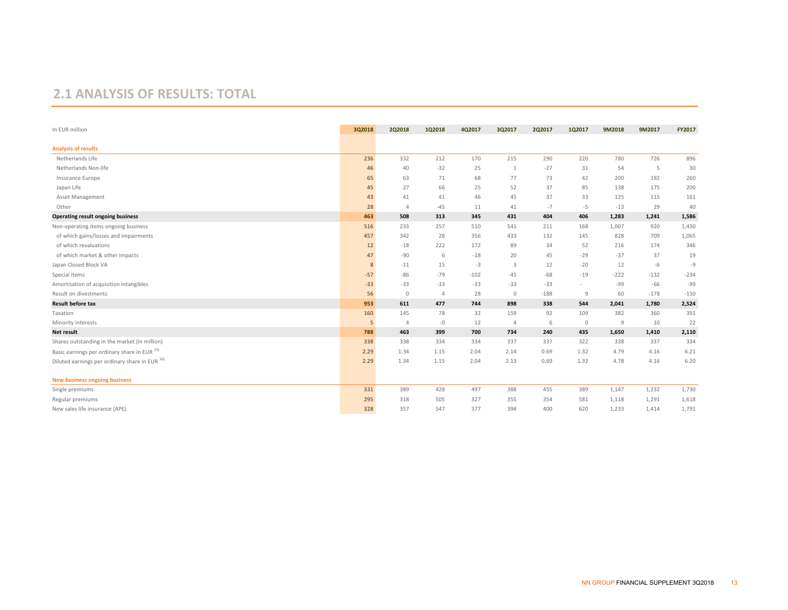#### **2.1 ANALYSIS OF RESULTS: TOTAL**

| In EUR million                                 | 3Q2018 | 2Q2018       | 1Q2018         | 4Q2017 | 3Q2017         | 2Q2017 | 1Q2017  | 9M2018 | 9M2017 | FY2017 |
|------------------------------------------------|--------|--------------|----------------|--------|----------------|--------|---------|--------|--------|--------|
| <b>Analysis of results</b>                     |        |              |                |        |                |        |         |        |        |        |
| Netherlands Life                               | 236    | 332          | 212            | 170    | 215            | 290    | 220     | 780    | 726    | 896    |
| Netherlands Non-life                           | 46     | 40           | $-32$          | 25     | 1              | $-27$  | 31      | 54     | 5      | 30     |
| Insurance Europe                               | 65     | 63           | 71             | 68     | 77             | 73     | 42      | 200    | 192    | 260    |
| Japan Life                                     | 45     | 27           | 66             | 25     | 52             | 37     | 85      | 138    | 175    | 200    |
| Asset Management                               | 43     | 41           | 41             | 46     | 45             | 37     | 33      | 125    | 115    | 161    |
| Other                                          | 28     | $\Delta$     | $-45$          | 11     | 41             | $-7$   | $-5$    | $-13$  | 29     | 40     |
| <b>Operating result ongoing business</b>       | 463    | 508          | 313            | 345    | 431            | 404    | 406     | 1,283  | 1,241  | 1,586  |
| Non-operating items ongoing business           | 516    | 233          | 257            | 510    | 541            | 211    | 168     | 1,007  | 920    | 1,430  |
| of which gains/losses and impairments          | 457    | 342          | 28             | 356    | 433            | 132    | 145     | 828    | 709    | 1,065  |
| of which revaluations                          | 12     | $-18$        | 222            | 172    | 89             | 34     | 52      | 216    | 174    | 346    |
| of which market & other impacts                | 47     | $-90$        | 6              | $-18$  | 20             | 45     | $-29$   | $-37$  | 37     | 19     |
| Japan Closed Block VA                          | 8      | $-11$        | 15             | $-3$   | 3              | 12     | $-20$   | 12     | $-6$   | -9     |
| Special items                                  | $-57$  | $-86$        | $-79$          | $-102$ | $-45$          | $-68$  | $-19$   | $-222$ | $-132$ | $-234$ |
| Amortisation of acquisition intangibles        | $-33$  | $-33$        | $-33$          | $-33$  | $-33$          | $-33$  | $\sim$  | -99    | $-66$  | $-99$  |
| Result on divestments                          | 56     | $\mathbf{0}$ | $\overline{4}$ | 28     | $\circ$        | $-188$ | 9       | 60     | $-178$ | $-150$ |
| <b>Result before tax</b>                       | 953    | 611          | 477            | 744    | 898            | 338    | 544     | 2,041  | 1,780  | 2,524  |
| Taxation                                       | 160    | 145          | 78             | 32     | 159            | 92     | 109     | 382    | 360    | 391    |
| Minority interests                             | 5      | $\Delta$     | $-0$           | 12     | $\overline{4}$ | 6      | $\circ$ | 9      | 10     | 22     |
| <b>Net result</b>                              | 788    | 463          | 399            | 700    | 734            | 240    | 435     | 1,650  | 1,410  | 2,110  |
| Shares outstanding in the market (in million)  | 338    | 338          | 334            | 334    | 337            | 337    | 322     | 338    | 337    | 334    |
| Basic earnings per ordinary share in EUR 15)   | 2.29   | 1.34         | 1.15           | 2.04   | 2.14           | 0.69   | 1.32    | 4.79   | 4.16   | 6.21   |
| Diluted earnings per ordinary share in EUR 16) | 2.29   | 1.34         | 1.15           | 2.04   | 2.13           | 0.69   | 1.32    | 4.78   | 4.16   | 6.20   |
| <b>New business ongoing business</b>           |        |              |                |        |                |        |         |        |        |        |
| Single premiums                                | 331    | 389          | 428            | 497    | 388            | 455    | 389     | 1,147  | 1,232  | 1,730  |
| Regular premiums                               | 295    | 318          | 505            | 327    | 355            | 354    | 581     | 1,118  | 1,291  | 1,618  |
| New sales life insurance (APE)                 | 328    | 357          | 547            | 377    | 394            | 400    | 620     | 1,233  | 1,414  | 1,791  |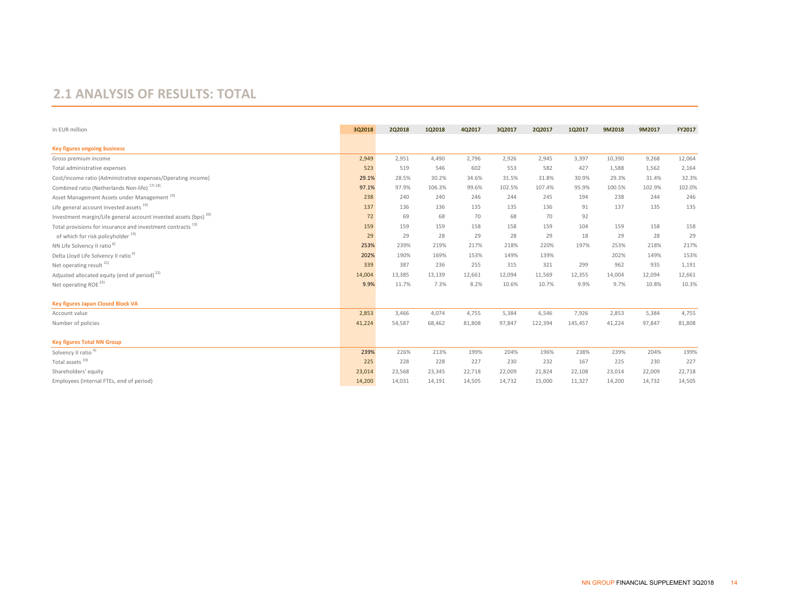#### **2.1 ANALYSIS OF RESULTS: TOTAL**

| In EUR million                                                              | 3Q2018 | 2Q2018 | 1Q2018 | 4Q2017 | 3Q2017 | 2Q2017  | 1Q2017  | 9M2018 | 9M2017 | FY2017 |
|-----------------------------------------------------------------------------|--------|--------|--------|--------|--------|---------|---------|--------|--------|--------|
| <b>Key figures ongoing business</b>                                         |        |        |        |        |        |         |         |        |        |        |
| Gross premium income                                                        | 2,949  | 2,951  | 4,490  | 2,796  | 2,926  | 2,945   | 3,397   | 10,390 | 9,268  | 12,064 |
| Total administrative expenses                                               | 523    | 519    | 546    | 602    | 553    | 582     | 427     | 1,588  | 1,562  | 2,164  |
| Cost/income ratio (Administrative expenses/Operating income)                | 29.1%  | 28.5%  | 30.2%  | 34.6%  | 31.5%  | 31.8%   | 30.9%   | 29.3%  | 31.4%  | 32.3%  |
| Combined ratio (Netherlands Non-life) <sup>17)18)</sup>                     | 97.1%  | 97.9%  | 106.3% | 99.6%  | 102.5% | 107.4%  | 95.9%   | 100.5% | 102.9% | 102.0% |
| Asset Management Assets under Management <sup>19)</sup>                     | 238    | 240    | 240    | 246    | 244    | 245     | 194     | 238    | 244    | 246    |
| Life general account invested assets 19)                                    | 137    | 136    | 136    | 135    | 135    | 136     | 91      | 137    | 135    | 135    |
| Investment margin/Life general account invested assets (bps) <sup>20)</sup> | 72     | 69     | 68     | 70     | 68     | 70      | 92      |        |        |        |
| Total provisions for insurance and investment contracts <sup>19)</sup>      | 159    | 159    | 159    | 158    | 158    | 159     | 104     | 159    | 158    | 158    |
| of which for risk policyholder <sup>19)</sup>                               | 29     | 29     | 28     | 29     | 28     | 29      | 18      | 29     | 28     | 29     |
| NN Life Solvency II ratio <sup>6)</sup>                                     | 253%   | 239%   | 219%   | 217%   | 218%   | 220%    | 197%    | 253%   | 218%   | 217%   |
| Delta Lloyd Life Solvency II ratio <sup>b)</sup>                            | 202%   | 190%   | 169%   | 153%   | 149%   | 139%    |         | 202%   | 149%   | 153%   |
| Net operating result <sup>21)</sup>                                         | 339    | 387    | 236    | 255    | 315    | 321     | 299     | 962    | 935    | 1,191  |
| Adjusted allocated equity (end of period) <sup>22)</sup>                    | 14,004 | 13,385 | 13,139 | 12,661 | 12,094 | 11,569  | 12,355  | 14,004 | 12,094 | 12,661 |
| Net operating ROE <sup>23)</sup>                                            | 9.9%   | 11.7%  | 7.3%   | 8.2%   | 10.6%  | 10.7%   | 9.9%    | 9.7%   | 10.8%  | 10.3%  |
| <b>Key figures Japan Closed Block VA</b>                                    |        |        |        |        |        |         |         |        |        |        |
| Account value                                                               | 2,853  | 3,466  | 4,074  | 4,755  | 5,384  | 6,546   | 7,926   | 2,853  | 5,384  | 4,755  |
| Number of policies                                                          | 41,224 | 54,587 | 68,462 | 81,808 | 97,847 | 122,394 | 145,457 | 41,224 | 97,847 | 81,808 |
| <b>Key figures Total NN Group</b>                                           |        |        |        |        |        |         |         |        |        |        |
| Solvency II ratio <sup>6)</sup>                                             | 239%   | 226%   | 213%   | 199%   | 204%   | 196%    | 238%    | 239%   | 204%   | 199%   |
| Total assets $19)$                                                          | 225    | 228    | 228    | 227    | 230    | 232     | 167     | 225    | 230    | 227    |
| Shareholders' equity                                                        | 23,014 | 23,568 | 23,345 | 22,718 | 22,009 | 21,824  | 22,108  | 23,014 | 22,009 | 22,718 |
| Employees (internal FTEs, end of period)                                    | 14,200 | 14,031 | 14,191 | 14,505 | 14,732 | 15,000  | 11,327  | 14,200 | 14,732 | 14,505 |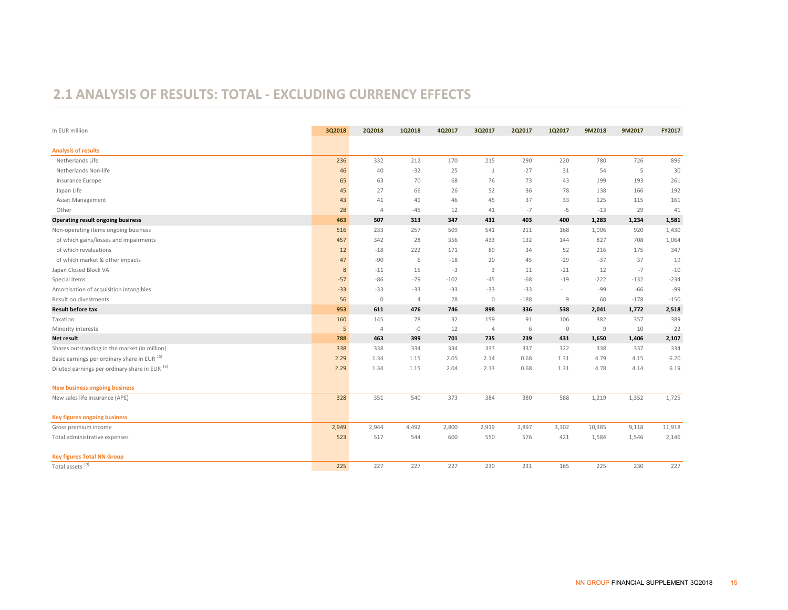### **2.1 ANALYSIS OF RESULTS: TOTAL ‐ EXCLUDING CURRENCY EFFECTS**

| In EUR million                                 | 3Q2018 | 2Q2018         | 1Q2018         | 4Q2017 | 3Q2017       | 2Q2017 | 1Q2017  | 9M2018 | 9M2017 | FY2017 |
|------------------------------------------------|--------|----------------|----------------|--------|--------------|--------|---------|--------|--------|--------|
| <b>Analysis of results</b>                     |        |                |                |        |              |        |         |        |        |        |
| Netherlands Life                               | 236    | 332            | 212            | 170    | 215          | 290    | 220     | 780    | 726    | 896    |
| Netherlands Non-life                           | 46     | 40             | $-32$          | 25     | $\mathbf{1}$ | $-27$  | 31      | 54     | 5      | 30     |
| Insurance Europe                               | 65     | 63             | 70             | 68     | 76           | 73     | 43      | 199    | 193    | 261    |
| Japan Life                                     | 45     | 27             | 66             | 26     | 52           | 36     | 78      | 138    | 166    | 192    |
| Asset Management                               | 43     | 41             | 41             | 46     | 45           | 37     | 33      | 125    | 115    | 161    |
| Other                                          | 28     | $\overline{4}$ | $-45$          | 12     | 41           | $-7$   | $-5$    | $-13$  | 29     | 41     |
| <b>Operating result ongoing business</b>       | 463    | 507            | 313            | 347    | 431          | 403    | 400     | 1,283  | 1,234  | 1,581  |
| Non-operating items ongoing business           | 516    | 233            | 257            | 509    | 541          | 211    | 168     | 1,006  | 920    | 1,430  |
| of which gains/losses and impairments          | 457    | 342            | 28             | 356    | 433          | 132    | 144     | 827    | 708    | 1,064  |
| of which revaluations                          | 12     | $-18$          | 222            | 171    | 89           | 34     | 52      | 216    | 175    | 347    |
| of which market & other impacts                | 47     | $-90$          | 6              | $-18$  | 20           | 45     | $-29$   | $-37$  | 37     | 19     |
| Japan Closed Block VA                          | 8      | $-11$          | 15             | $-3$   | 3            | 11     | $-21$   | 12     | $-7$   | $-10$  |
| Special items                                  | $-57$  | $-86$          | $-79$          | $-102$ | $-45$        | $-68$  | $-19$   | $-222$ | $-132$ | $-234$ |
| Amortisation of acquisition intangibles        | $-33$  | $-33$          | $-33$          | $-33$  | $-33$        | $-33$  | $\sim$  | $-99$  | $-66$  | -99    |
| Result on divestments                          | 56     | $\mathbf 0$    | $\overline{4}$ | 28     | $\circ$      | $-188$ | 9       | 60     | $-178$ | $-150$ |
| <b>Result before tax</b>                       | 953    | 611            | 476            | 746    | 898          | 336    | 538     | 2,041  | 1,772  | 2,518  |
| Taxation                                       | 160    | 145            | 78             | 32     | 159          | 91     | 106     | 382    | 357    | 389    |
| Minority interests                             | 5      | $\overline{4}$ | $-0$           | 12     | 4            | 6      | $\circ$ | 9      | 10     | 22     |
| Net result                                     | 788    | 463            | 399            | 701    | 735          | 239    | 431     | 1,650  | 1,406  | 2,107  |
| Shares outstanding in the market (in million)  | 338    | 338            | 334            | 334    | 337          | 337    | 322     | 338    | 337    | 334    |
| Basic earnings per ordinary share in EUR 15)   | 2.29   | 1.34           | 1.15           | 2.05   | 2.14         | 0.68   | 1.31    | 4.79   | 4.15   | 6.20   |
| Diluted earnings per ordinary share in EUR 16) | 2.29   | 1.34           | 1.15           | 2.04   | 2.13         | 0.68   | 1.31    | 4.78   | 4.14   | 6.19   |
| <b>New business ongoing business</b>           |        |                |                |        |              |        |         |        |        |        |
| New sales life insurance (APE)                 | 328    | 351            | 540            | 373    | 384          | 380    | 588     | 1,219  | 1,352  | 1,725  |
| <b>Key figures ongoing business</b>            |        |                |                |        |              |        |         |        |        |        |
| Gross premium income                           | 2,949  | 2,944          | 4,492          | 2,800  | 2,919        | 2,897  | 3,302   | 10,385 | 9,118  | 11,918 |
| Total administrative expenses                  | 523    | 517            | 544            | 600    | 550          | 576    | 421     | 1,584  | 1,546  | 2,146  |
| <b>Key figures Total NN Group</b>              |        |                |                |        |              |        |         |        |        |        |
| Total assets <sup>19)</sup>                    | 225    | 227            | 227            | 227    | 230          | 231    | 165     | 225    | 230    | 227    |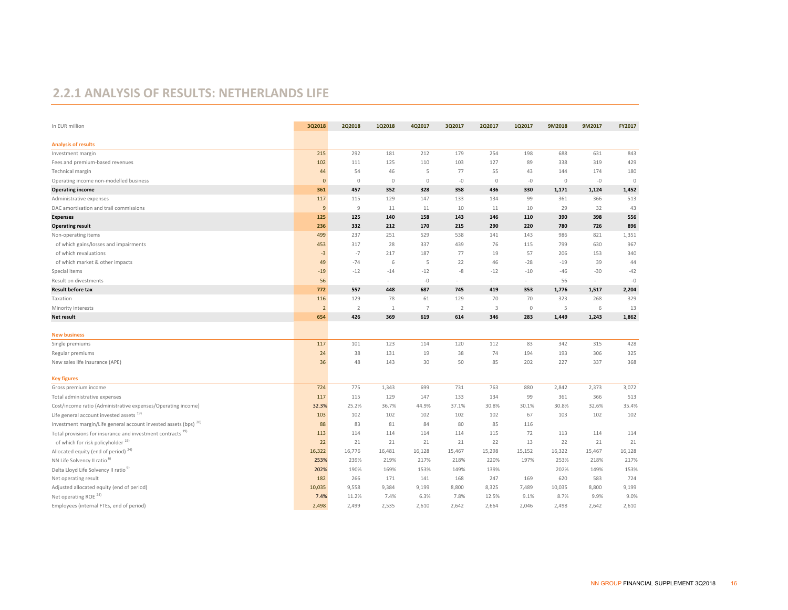#### **2.2.1 ANALYSIS OF RESULTS: NETHERLANDS LIFE**

| In EUR million                                                              | 3Q2018         | 2Q2018         | 1Q2018  | 4Q2017               | 3Q2017         | 2Q2017                   | 1Q2017  | 9M2018      | 9M2017    | FY2017      |
|-----------------------------------------------------------------------------|----------------|----------------|---------|----------------------|----------------|--------------------------|---------|-------------|-----------|-------------|
| <b>Analysis of results</b>                                                  |                |                |         |                      |                |                          |         |             |           |             |
| Investment margin                                                           | 215            | 292            | 181     | 212                  | 179            | 254                      | 198     | 688         | 631       | 843         |
| Fees and premium-based revenues                                             | 102            | 111            | 125     | 110                  | 103            | 127                      | 89      | 338         | 319       | 429         |
| Technical margin                                                            | 44             | 54             | 46      | 5                    | 77             | 55                       | 43      | 144         | 174       | 180         |
| Operating income non-modelled business                                      | $\mathbf{0}$   | $\mathbb O$    | $\circ$ | $\mathbf{0}$         | $-0$           | $\mathbf 0$              | $-0$    | $\mathbf 0$ | $-0$      | $\mathbf 0$ |
| <b>Operating income</b>                                                     | 361            | 457            | 352     | 328                  | 358            | 436                      | 330     | 1,171       | 1,124     | 1,452       |
| Administrative expenses                                                     | 117            | 115            | 129     | 147                  | 133            | 134                      | 99      | 361         | 366       | 513         |
| DAC amortisation and trail commissions                                      | 9              | $\overline{9}$ | 11      | 11                   | 10             | 11                       | 10      | 29          | 32        | 43          |
| <b>Expenses</b>                                                             | 125            | 125            | 140     | 158                  | 143            | 146                      | 110     | 390         | 398       | 556         |
|                                                                             |                | 332            | 212     | 170                  | 215            | 290                      | 220     | 780         | 726       | 896         |
| <b>Operating result</b>                                                     | 236<br>499     | 237            | 251     | 529                  | 538            | 141                      | 143     | 986         | 821       | 1,351       |
| Non-operating items                                                         |                | 317            | 28      | 337                  | 439            | 76                       | 115     | 799         | 630       | 967         |
| of which gains/losses and impairments                                       | 453            |                |         |                      | 77             |                          |         |             |           |             |
| of which revaluations                                                       | $-3$           | $-7$<br>$-74$  | 217     | 187<br>5             |                | 19                       | 57      | 206         | 153<br>39 | 340<br>44   |
| of which market & other impacts                                             | 49             |                | 6       |                      | 22             | 46                       | $-28$   | $-19$       |           |             |
| Special items                                                               | $-19$          | $-12$          | $-14$   | $-12$                | $-8$           | $-12$                    | $-10$   | $-46$       | $-30$     | $-42$       |
| Result on divestments                                                       | 56             | $\overline{a}$ |         | $-0$                 |                | $\overline{\phantom{a}}$ | $\sim$  | 56          | $\sim$    | $-0$        |
| <b>Result before tax</b>                                                    | 772            | 557            | 448     | 687                  | 745            | 419                      | 353     | 1,776       | 1,517     | 2,204       |
| Taxation                                                                    | 116            | 129            | 78      | 61<br>$\overline{7}$ | 129            | 70                       | 70      | 323         | 268       | 329         |
| Minority interests                                                          | $\overline{2}$ | $\overline{2}$ | 1       |                      | $\overline{2}$ | $\overline{3}$           | $\circ$ | 5           | 6         | 13          |
| Net result                                                                  | 654            | 426            | 369     | 619                  | 614            | 346                      | 283     | 1,449       | 1,243     | 1,862       |
| <b>New business</b>                                                         |                |                |         |                      |                |                          |         |             |           |             |
| Single premiums                                                             | 117            | 101            | 123     | 114                  | 120            | 112                      | 83      | 342         | 315       | 428         |
| Regular premiums                                                            | 24             | 38             | 131     | 19                   | 38             | 74                       | 194     | 193         | 306       | 325         |
| New sales life insurance (APE)                                              | 36             | 48             | 143     | 30                   | 50             | 85                       | 202     | 227         | 337       | 368         |
|                                                                             |                |                |         |                      |                |                          |         |             |           |             |
| <b>Key figures</b>                                                          |                |                |         |                      |                |                          |         |             |           |             |
| Gross premium income                                                        | 724            | 775            | 1,343   | 699                  | 731            | 763                      | 880     | 2,842       | 2,373     | 3,072       |
| Total administrative expenses                                               | 117            | 115            | 129     | 147                  | 133            | 134                      | 99      | 361         | 366       | 513         |
| Cost/income ratio (Administrative expenses/Operating income)                | 32.3%          | 25.2%          | 36.7%   | 44.9%                | 37.1%          | 30.8%                    | 30.1%   | 30.8%       | 32.6%     | 35.4%       |
| Life general account invested assets 19)                                    | 103            | 102            | 102     | 102                  | 102            | 102                      | 67      | 103         | 102       | 102         |
| Investment margin/Life general account invested assets (bps) <sup>20)</sup> | 88             | 83             | 81      | 84                   | 80             | 85                       | 116     |             |           |             |
| Total provisions for insurance and investment contracts <sup>19)</sup>      | 113            | 114            | 114     | 114                  | 114            | 115                      | 72      | 113         | 114       | 114         |
| of which for risk policyholder <sup>19)</sup>                               | 22             | 21             | 21      | 21                   | 21             | 22                       | 13      | 22          | 21        | 21          |
| Allocated equity (end of period) <sup>24)</sup>                             | 16,322         | 16,776         | 16,481  | 16,128               | 15,467         | 15,298                   | 15,152  | 16,322      | 15,467    | 16,128      |
| NN Life Solvency II ratio <sup>6)</sup>                                     | 253%           | 239%           | 219%    | 217%                 | 218%           | 220%                     | 197%    | 253%        | 218%      | 217%        |
| Delta Lloyd Life Solvency II ratio <sup>b)</sup>                            | 202%           | 190%           | 169%    | 153%                 | 149%           | 139%                     |         | 202%        | 149%      | 153%        |
| Net operating result                                                        | 182            | 266            | 171     | 141                  | 168            | 247                      | 169     | 620         | 583       | 724         |
| Adjusted allocated equity (end of period)                                   | 10,035         | 9,558          | 9,384   | 9,199                | 8,800          | 8,325                    | 7,489   | 10,035      | 8,800     | 9,199       |
| Net operating ROE <sup>24)</sup>                                            | 7.4%           | 11.2%          | 7.4%    | 6.3%                 | 7.8%           | 12.5%                    | 9.1%    | 8.7%        | 9.9%      | 9.0%        |
| Employees (internal FTEs, end of period)                                    | 2,498          | 2,499          | 2,535   | 2,610                | 2,642          | 2,664                    | 2,046   | 2,498       | 2,642     | 2,610       |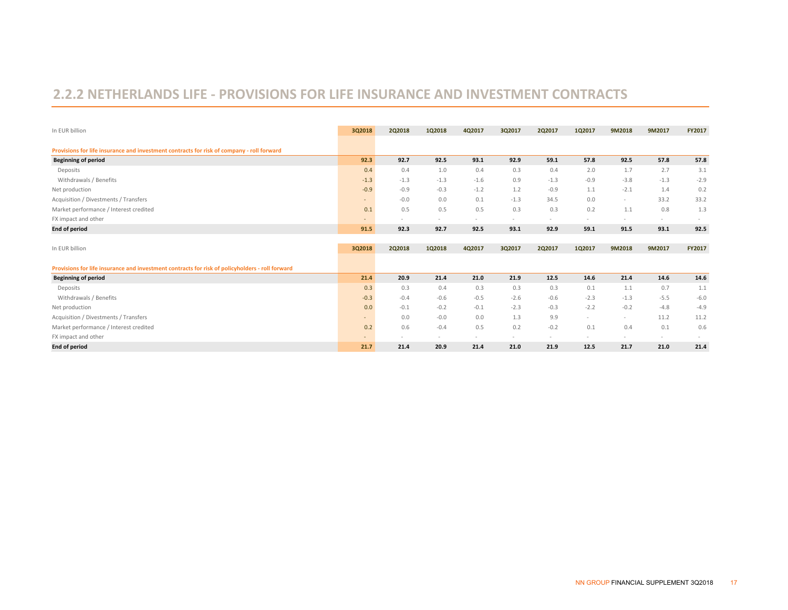### **2.2.2 NETHERLANDS LIFE ‐ PROVISIONS FOR LIFE INSURANCE AND INVESTMENT CONTRACTS**

| In EUR billion                                                                                  | 3Q2018 | 2Q2018                   | 1Q2018 | 4Q2017 | 3Q2017 | 2Q2017 | 1Q2017                   | 9M2018                   | 9M2017 | FY2017 |
|-------------------------------------------------------------------------------------------------|--------|--------------------------|--------|--------|--------|--------|--------------------------|--------------------------|--------|--------|
| Provisions for life insurance and investment contracts for risk of company - roll forward       |        |                          |        |        |        |        |                          |                          |        |        |
| <b>Beginning of period</b>                                                                      | 92.3   | 92.7                     | 92.5   | 93.1   | 92.9   | 59.1   | 57.8                     | 92.5                     | 57.8   | 57.8   |
| Deposits                                                                                        | 0.4    | 0.4                      | 1.0    | 0.4    | 0.3    | 0.4    | 2.0                      | 1.7                      | 2.7    | 3.1    |
| Withdrawals / Benefits                                                                          | $-1.3$ | $-1.3$                   | $-1.3$ | $-1.6$ | 0.9    | $-1.3$ | $-0.9$                   | $-3.8$                   | $-1.3$ | $-2.9$ |
| Net production                                                                                  | $-0.9$ | $-0.9$                   | $-0.3$ | $-1.2$ | 1.2    | $-0.9$ | 1.1                      | $-2.1$                   | 1.4    | 0.2    |
| Acquisition / Divestments / Transfers                                                           | ٠      | $-0.0$                   | 0.0    | 0.1    | $-1.3$ | 34.5   | 0.0                      | $\overline{\phantom{a}}$ | 33.2   | 33.2   |
| Market performance / Interest credited                                                          | 0.1    | 0.5                      | 0.5    | 0.5    | 0.3    | 0.3    | 0.2                      | 1.1                      | 0.8    | 1.3    |
| FX impact and other                                                                             |        | $\sim$                   | $\sim$ | $\sim$ | $\sim$ | $\sim$ | $\sim$                   | $\sim$                   | $\sim$ |        |
| <b>End of period</b>                                                                            | 91.5   | 92.3                     | 92.7   | 92.5   | 93.1   | 92.9   | 59.1                     | 91.5                     | 93.1   | 92.5   |
|                                                                                                 |        |                          |        |        |        |        |                          |                          |        |        |
| In EUR billion                                                                                  | 3Q2018 | <b>2Q2018</b>            | 1Q2018 | 4Q2017 | 3Q2017 | 2Q2017 | 1Q2017                   | 9M2018                   | 9M2017 | FY2017 |
| Provisions for life insurance and investment contracts for risk of policyholders - roll forward |        |                          |        |        |        |        |                          |                          |        |        |
| <b>Beginning of period</b>                                                                      | 21.4   | 20.9                     | 21.4   | 21.0   | 21.9   | 12.5   | 14.6                     | 21.4                     | 14.6   | 14.6   |
| Deposits                                                                                        | 0.3    | 0.3                      | 0.4    | 0.3    | 0.3    | 0.3    | 0.1                      | 1.1                      | 0.7    | 1.1    |
| Withdrawals / Benefits                                                                          | $-0.3$ | $-0.4$                   | $-0.6$ | $-0.5$ | $-2.6$ | $-0.6$ | $-2.3$                   | $-1.3$                   | $-5.5$ | $-6.0$ |
| Net production                                                                                  | 0.0    | $-0.1$                   | $-0.2$ | $-0.1$ | $-2.3$ | $-0.3$ | $-2.2$                   | $-0.2$                   | $-4.8$ | $-4.9$ |
| Acquisition / Divestments / Transfers                                                           | ٠      | 0.0                      | $-0.0$ | 0.0    | 1.3    | 9.9    | $\sim$                   | $\overline{\phantom{a}}$ | 11.2   | 11.2   |
| Market performance / Interest credited                                                          | 0.2    | 0.6                      | $-0.4$ | 0.5    | 0.2    | $-0.2$ | 0.1                      | 0.4                      | 0.1    | 0.6    |
| FX impact and other                                                                             |        | $\overline{\phantom{a}}$ |        | $\sim$ | $\sim$ | $\sim$ | $\overline{\phantom{a}}$ | $\sim$                   | $\sim$ |        |
|                                                                                                 |        |                          |        |        |        |        |                          |                          |        |        |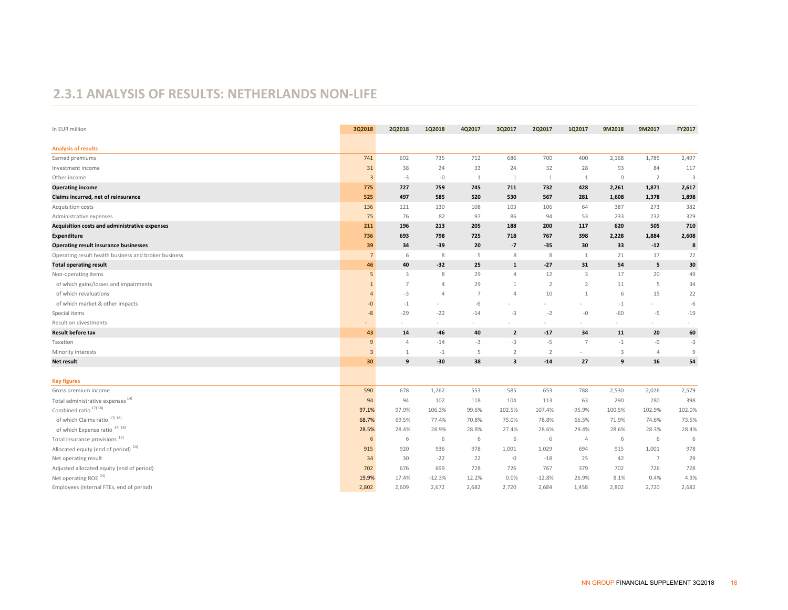#### **2.3.1 ANALYSIS OF RESULTS: NETHERLANDS NON‐LIFE**

| In EUR million                                       | 3Q2018         | 2Q2018         | 1Q2018         | 4Q2017         | 3Q2017         | 2Q2017         | 1Q2017         | 9M2018                  | 9M2017         | FY2017 |
|------------------------------------------------------|----------------|----------------|----------------|----------------|----------------|----------------|----------------|-------------------------|----------------|--------|
| <b>Analysis of results</b>                           |                |                |                |                |                |                |                |                         |                |        |
| Earned premiums                                      | 741            | 692            | 735            | 712            | 686            | 700            | 400            | 2,168                   | 1,785          | 2,497  |
| Investment income                                    | 31             | 38             | 24             | 33             | 24             | 32             | 28             | 93                      | 84             | 117    |
| Other income                                         | $\overline{3}$ | $-3$           | $-0$           | 1              | 1              | 1              | $\mathbf{1}$   | $\mathbb O$             | $\overline{2}$ | 3      |
| <b>Operating income</b>                              | 775            | 727            | 759            | 745            | 711            | 732            | 428            | 2,261                   | 1,871          | 2,617  |
| Claims incurred, net of reinsurance                  | 525            | 497            | 585            | 520            | 530            | 567            | 281            | 1,608                   | 1,378          | 1,898  |
| Acquisition costs                                    | 136            | 121            | 130            | 108            | 103            | 106            | 64             | 387                     | 273            | 382    |
| Administrative expenses                              | 75             | 76             | 82             | 97             | 86             | 94             | 53             | 233                     | 232            | 329    |
| Acquisition costs and administrative expenses        | 211            | 196            | 213            | 205            | 188            | 200            | 117            | 620                     | 505            | 710    |
| <b>Expenditure</b>                                   | 736            | 693            | 798            | 725            | 718            | 767            | 398            | 2,228                   | 1,884          | 2,608  |
| <b>Operating result insurance businesses</b>         | 39             | 34             | $-39$          | 20             | $-7$           | $-35$          | 30             | 33                      | $-12$          | 8      |
| Operating result health business and broker business | $\overline{7}$ | 6              | 8              | 5              | 8              | 8              | 1              | 21                      | 17             | 22     |
| <b>Total operating result</b>                        | 46             | 40             | $-32$          | 25             | $\mathbf 1$    | $-27$          | 31             | 54                      | 5              | 30     |
| Non-operating items                                  | 5              | 3              | 8              | 29             | $\overline{4}$ | 12             | $\overline{3}$ | 17                      | 20             | 49     |
| of which gains/losses and impairments                | $\mathbf{1}$   | $\overline{7}$ | $\overline{4}$ | 29             | 1              | $\overline{2}$ | $\overline{2}$ | 11                      | 5              | 34     |
| of which revaluations                                | $\mathbf{A}$   | $-3$           | $\overline{4}$ | $\overline{7}$ | $\overline{4}$ | 10             | $\mathbf{1}$   | 6                       | 15             | 22     |
| of which market & other impacts                      | -0             | $-1$           |                | $-6$           |                |                |                | $-1$                    | $\sim$         | $-6$   |
| Special items                                        | $-8$           | $-29$          | $-22$          | $-14$          | $-3$           | $-2$           | $-0$           | $-60$                   | $-5$           | $-19$  |
| Result on divestments                                |                |                | $\sim$         |                |                |                | $\sim$         | $\sim$                  | $\sim$         |        |
| <b>Result before tax</b>                             | 43             | 14             | $-46$          | 40             | $\overline{2}$ | $-17$          | 34             | 11                      | 20             | 60     |
| Taxation                                             | 9              | 4              | $-14$          | $-3$           | $-3$           | $-5$           | 7              | $-1$                    | $-0$           | $-3$   |
| Minority interests                                   | $\overline{3}$ | $\mathbf{1}$   | $-1$           | 5              | $\overline{2}$ | $\overline{2}$ | $\sim$         | $\overline{\mathbf{3}}$ | $\overline{4}$ | 9      |
| <b>Net result</b>                                    | 30             | 9              | $-30$          | 38             | 3              | $-14$          | 27             | 9                       | 16             | 54     |
| <b>Key figures</b>                                   |                |                |                |                |                |                |                |                         |                |        |
| Gross premium income                                 | 590            | 678            | 1,262          | 553            | 585            | 653            | 788            | 2,530                   | 2,026          | 2,579  |
| Total administrative expenses <sup>14)</sup>         | 94             | 94             | 102            | 118            | 104            | 113            | 63             | 290                     | 280            | 398    |
| Combined ratio <sup>17) 18)</sup>                    | 97.1%          | 97.9%          | 106.3%         | 99.6%          | 102.5%         | 107.4%         | 95.9%          | 100.5%                  | 102.9%         | 102.0% |
| of which Claims ratio <sup>17) 18)</sup>             | 68.7%          | 69.5%          | 77.4%          | 70.8%          | 75.0%          | 78.8%          | 66.5%          | 71.9%                   | 74.6%          | 73.5%  |
| of which Expense ratio <sup>17) 18)</sup>            | 28.5%          | 28.4%          | 28.9%          | 28.8%          | 27.4%          | 28.6%          | 29.4%          | 28.6%                   | 28.3%          | 28.4%  |
| Total insurance provisions <sup>19)</sup>            | 6              | 6              | 6              | 6              | 6              | 6              | $\overline{4}$ | 6                       | 6              | 6      |
| Allocated equity (end of period) <sup>24)</sup>      | 915            | 920            | 936            | 978            | 1,001          | 1,029          | 694            | 915                     | 1,001          | 978    |
| Net operating result                                 | 34             | 30             | $-22$          | 22             | $-0$           | $-18$          | 25             | 42                      | $\overline{7}$ | 29     |
| Adjusted allocated equity (end of period)            | 702            | 676            | 699            | 728            | 726            | 767            | 379            | 702                     | 726            | 728    |
| Net operating ROE <sup>24)</sup>                     | 19.9%          | 17.4%          | $-12.3%$       | 12.2%          | 0.0%           | $-12.8%$       | 26.9%          | 8.1%                    | 0.4%           | 4.3%   |
| Employees (internal FTEs, end of period)             | 2,802          | 2,609          | 2,672          | 2,682          | 2,720          | 2,684          | 1,458          | 2,802                   | 2,720          | 2,682  |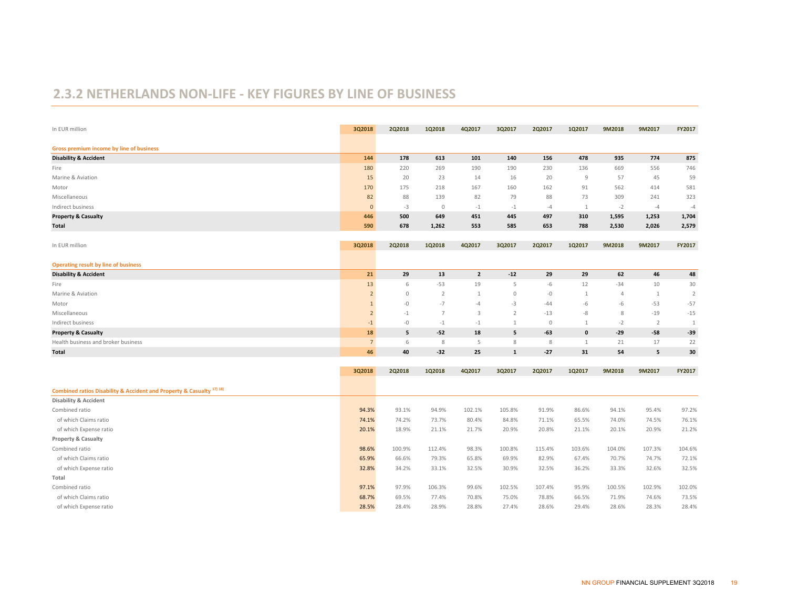#### **2.3.2 NETHERLANDS NON‐LIFE ‐ KEY FIGURES BY LINE OF BUSINESS**

| In EUR million                                                                  | 3Q2018          | 2Q2018        | 1Q2018         | 4Q2017         | 3Q2017         | 2Q2017  | 1Q2017         | 9M2018         | 9M2017         | FY2017         |
|---------------------------------------------------------------------------------|-----------------|---------------|----------------|----------------|----------------|---------|----------------|----------------|----------------|----------------|
| Gross premium income by line of business                                        |                 |               |                |                |                |         |                |                |                |                |
| <b>Disability &amp; Accident</b>                                                | 144             | 178           | 613            | 101            | 140            | 156     | 478            | 935            | 774            | 875            |
| Fire                                                                            | 180             | 220           | 269            | 190            | 190            | 230     | 136            | 669            | 556            | 746            |
| Marine & Aviation                                                               | 15              | 20            | 23             | 14             | 16             | 20      | $\overline{9}$ | 57             | 45             | 59             |
| Motor                                                                           | 170             | 175           | 218            | 167            | 160            | 162     | 91             | 562            | 414            | 581            |
| Miscellaneous                                                                   | 82              | 88            | 139            | 82             | 79             | 88      | 73             | 309            | 241            | 323            |
| Indirect business                                                               | $\mathbf{0}$    | $-3$          | $\mathbb O$    | $-1$           | $-1$           | $-4$    | 1              | $-2$           | $-4$           | $-4$           |
| <b>Property &amp; Casualty</b>                                                  | 446             | 500           | 649            | 451            | 445            | 497     | 310            | 1,595          | 1,253          | 1,704          |
| Total                                                                           | 590             | 678           | 1,262          | 553            | 585            | 653     | 788            | 2,530          | 2,026          | 2,579          |
|                                                                                 |                 |               |                |                |                |         |                |                |                |                |
| In EUR million                                                                  | 3Q2018          | <b>2Q2018</b> | 1Q2018         | 4Q2017         | 3Q2017         | 2Q2017  | 1Q2017         | 9M2018         | 9M2017         | FY2017         |
| <b>Operating result by line of business</b>                                     |                 |               |                |                |                |         |                |                |                |                |
| <b>Disability &amp; Accident</b>                                                | 21              | 29            | 13             | $\overline{2}$ | $-12$          | 29      | 29             | 62             | 46             | 48             |
| Fire                                                                            | 13              | 6             | $-53$          | 19             | 5              | $-6$    | 12             | $-34$          | 10             | 30             |
| Marine & Aviation                                                               | $\overline{2}$  | $\circ$       | $\overline{2}$ | $\mathbf{1}$   | $\mathbf{0}$   | $-0$    | $\mathbf{1}$   | $\overline{4}$ | $\mathbf{1}$   | $\overline{2}$ |
| Motor                                                                           | $\mathbf{1}$    | $-0$          | $-7$           | $-4$           | $-3$           | $-44$   | $-6$           | $-6$           | $-53$          | $-57$          |
| Miscellaneous                                                                   | $\overline{2}$  | $-1$          | $\overline{7}$ | $\mathbf{3}$   | $\overline{2}$ | $-13$   | -8             | 8              | $-19$          | $-15$          |
| Indirect business                                                               | $-1$            | $-0$          | $-1$           | $-1$           | $\mathbf{1}$   | $\circ$ | $\mathbf{1}$   | $-2$           | $\overline{2}$ | $\mathbf{1}$   |
| <b>Property &amp; Casualty</b>                                                  | 18              | 5             | $-52$          | 18             | 5              | $-63$   | $\mathbf 0$    | $-29$          | $-58$          | $-39$          |
| Health business and broker business                                             | $7\overline{ }$ | 6             | 8              | 5              | 8              | 8       | $\mathbf{1}$   | 21             | 17             | 22             |
| Total                                                                           | 46              | 40            | $-32$          | 25             | $\mathbf 1$    | $-27$   | 31             | 54             | 5              | 30             |
|                                                                                 |                 |               |                |                |                |         |                |                |                |                |
|                                                                                 | 3Q2018          | 2Q2018        | 1Q2018         | 4Q2017         | 3Q2017         | 2Q2017  | 1Q2017         | 9M2018         | 9M2017         | FY2017         |
| Combined ratios Disability & Accident and Property & Casualty <sup>17)18)</sup> |                 |               |                |                |                |         |                |                |                |                |
| <b>Disability &amp; Accident</b>                                                |                 |               |                |                |                |         |                |                |                |                |
| Combined ratio                                                                  | 94.3%           | 93.1%         | 94.9%          | 102.1%         | 105.8%         | 91.9%   | 86.6%          | 94.1%          | 95.4%          | 97.2%          |
| of which Claims ratio                                                           | 74.1%           | 74.2%         | 73.7%          | 80.4%          | 84.8%          | 71.1%   | 65.5%          | 74.0%          | 74.5%          | 76.1%          |
| of which Expense ratio                                                          | 20.1%           | 18.9%         | 21.1%          | 21.7%          | 20.9%          | 20.8%   | 21.1%          | 20.1%          | 20.9%          | 21.2%          |
| <b>Property &amp; Casualty</b>                                                  |                 |               |                |                |                |         |                |                |                |                |
| Combined ratio                                                                  | 98.6%           | 100.9%        | 112.4%         | 98.3%          | 100.8%         | 115.4%  | 103.6%         | 104.0%         | 107.3%         | 104.6%         |
| of which Claims ratio                                                           | 65.9%           | 66.6%         | 79.3%          | 65.8%          | 69.9%          | 82.9%   | 67.4%          | 70.7%          | 74.7%          | 72.1%          |
| of which Expense ratio                                                          | 32.8%           | 34.2%         | 33.1%          | 32.5%          | 30.9%          | 32.5%   | 36.2%          | 33.3%          | 32.6%          | 32.5%          |
| Total                                                                           |                 |               |                |                |                |         |                |                |                |                |
| Combined ratio                                                                  | 97.1%           | 97.9%         | 106.3%         | 99.6%          | 102.5%         | 107.4%  | 95.9%          | 100.5%         | 102.9%         | 102.0%         |
| of which Claims ratio                                                           | 68.7%           | 69.5%         | 77.4%          | 70.8%          | 75.0%          | 78.8%   | 66.5%          | 71.9%          | 74.6%          | 73.5%          |
| of which Expense ratio                                                          | 28.5%           | 28.4%         | 28.9%          | 28.8%          | 27.4%          | 28.6%   | 29.4%          | 28.6%          | 28.3%          | 28.4%          |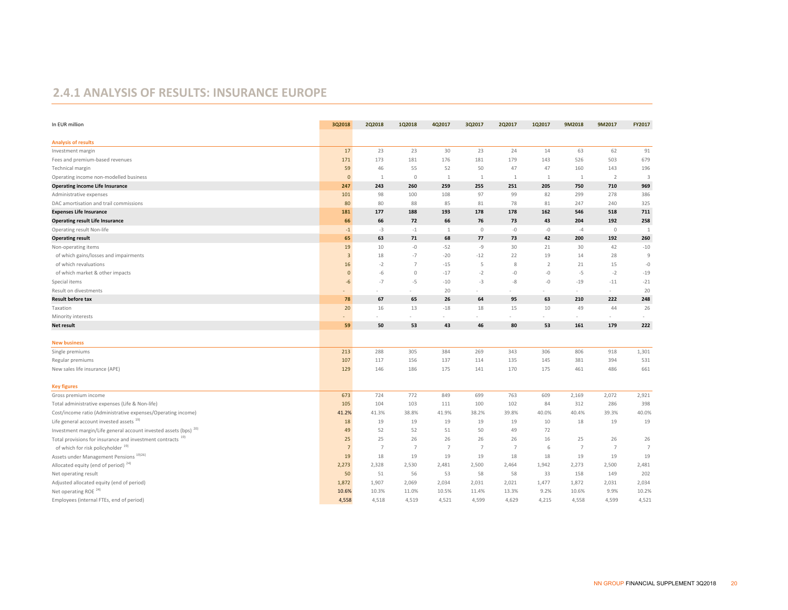#### **2.4.1 ANALYSIS OF RESULTS: INSURANCE EUROPE**

| In EUR million                                                              | 3Q2018         | <b>2Q2018</b>  | 1Q2018         | 4Q2017         | 3Q2017         | <b>2Q2017</b>  | 1Q2017         | 9M2018                   | 9M2017         | FY2017         |
|-----------------------------------------------------------------------------|----------------|----------------|----------------|----------------|----------------|----------------|----------------|--------------------------|----------------|----------------|
| <b>Analysis of results</b>                                                  |                |                |                |                |                |                |                |                          |                |                |
| Investment margin                                                           | 17             | 23             | 23             | 30             | 23             | 24             | 14             | 63                       | 62             | 91             |
| Fees and premium-based revenues                                             | 171            | 173            | 181            | 176            | 181            | 179            | 143            | 526                      | 503            | 679            |
| Technical margin                                                            | 59             | 46             | 55             | 52             | 50             | 47             | 47             | 160                      | 143            | 196            |
| Operating income non-modelled business                                      | $\mathbf 0$    | 1              | $\circ$        | 1              | 1              | $\mathbf{1}$   | 1              | 1                        | $\overline{2}$ | $\overline{3}$ |
| <b>Operating income Life Insurance</b>                                      | 247            | 243            | 260            | 259            | 255            | 251            | 205            | 750                      | 710            | 969            |
| Administrative expenses                                                     | 101            | 98             | 100            | 108            | 97             | 99             | 82             | 299                      | 278            | 386            |
| DAC amortisation and trail commissions                                      | 80             | 80             | 88             | 85             | 81             | 78             | 81             | 247                      | 240            | 325            |
| <b>Expenses Life Insurance</b>                                              | 181            | 177            | 188            | 193            | 178            | 178            | 162            | 546                      | 518            | 711            |
| <b>Operating result Life Insurance</b>                                      | 66             | 66             | 72             | 66             | 76             | 73             | 43             | 204                      | 192            | 258            |
| Operating result Non-life                                                   | $-1$           | $-3$           | $-1$           | $\mathbf{1}$   | $\mathbb O$    | $-0$           | $-0$           | $-4$                     | $\circ$        | $\mathbf{1}$   |
| <b>Operating result</b>                                                     | 65             | 63             | 71             | 68             | 77             | 73             | 42             | 200                      | 192            | 260            |
| Non-operating items                                                         | 19             | 10             | $-0$           | $-52$          | $-9$           | 30             | 21             | 30                       | 42             | $-10$          |
| of which gains/losses and impairments                                       | 3              | 18             | $-7$           | $-20$          | $-12$          | 22             | 19             | 14                       | 28             | $\overline{9}$ |
| of which revaluations                                                       | 16             | $-2$           | $\overline{7}$ | $-15$          | 5              | 8              | $\overline{2}$ | 21                       | 15             | $-0$           |
| of which market & other impacts                                             | $\mathbf 0$    | $-6$           | $\mathbb O$    | $-17$          | $-2$           | -0             | -0             | $-5$                     | $-2$           | $-19$          |
| Special items                                                               | $-6$           | $-7$           | $-5$           | $-10$          | $-3$           | $-8$           | -0             | $-19$                    | $-11$          | $-21$          |
| Result on divestments                                                       |                |                |                | 20             |                |                |                | $\sim$                   | $\sim$         | 20             |
| <b>Result before tax</b>                                                    | 78             | 67             | 65             | 26             | 64             | 95             | 63             | 210                      | 222            | 248            |
| Taxation                                                                    | 20             | 16             | 13             | $-18$          | 18             | 15             | 10             | 49                       | 44             | 26             |
| Minority interests                                                          |                |                |                |                |                |                |                | $\overline{\phantom{a}}$ |                |                |
| Net result                                                                  | 59             | 50             | 53             | 43             | 46             | 80             | 53             | 161                      | 179            | 222            |
|                                                                             |                |                |                |                |                |                |                |                          |                |                |
| <b>New business</b>                                                         |                |                |                |                |                |                |                |                          |                |                |
| Single premiums                                                             | 213            | 288            | 305            | 384            | 269            | 343            | 306            | 806                      | 918            | 1,301          |
| Regular premiums                                                            | 107            | 117            | 156            | 137            | 114            | 135            | 145            | 381                      | 394            | 531            |
| New sales life insurance (APE)                                              | 129            | 146            | 186            | 175            | 141            | 170            | 175            | 461                      | 486            | 661            |
| <b>Key figures</b>                                                          |                |                |                |                |                |                |                |                          |                |                |
| Gross premium income                                                        | 673            | 724            | 772            | 849            | 699            | 763            | 609            | 2,169                    | 2,072          | 2,921          |
| Total administrative expenses (Life & Non-life)                             | 105            | 104            | 103            | 111            | 100            | 102            | 84             | 312                      | 286            | 398            |
| Cost/income ratio (Administrative expenses/Operating income)                | 41.2%          | 41.3%          | 38.8%          | 41.9%          | 38.2%          | 39.8%          | 40.0%          | 40.4%                    | 39.3%          | 40.0%          |
| Life general account invested assets 19)                                    | 18             | 19             | 19             | 19             | 19             | 19             | 10             | 18                       | 19             | 19             |
| Investment margin/Life general account invested assets (bps) <sup>20)</sup> | 49             | 52             | 52             | 51             | 50             | 49             | 72             |                          |                |                |
| Total provisions for insurance and investment contracts <sup>19)</sup>      | 25             | 25             | 26             | 26             | 26             | 26             | 16             | 25                       | 26             | 26             |
| of which for risk policyholder <sup>19)</sup>                               | $\overline{7}$ | $\overline{7}$ | $\overline{7}$ | $\overline{7}$ | $\overline{7}$ | $\overline{7}$ | 6              | $\overline{7}$           | $\overline{7}$ | $\overline{7}$ |
| Assets under Management Pensions <sup>19)26)</sup>                          | 19             | 18             | 19             | 19             | 19             | 18             | 18             | 19                       | 19             | 19             |
| Allocated equity (end of period) <sup>24)</sup>                             | 2,273          | 2,328          | 2,530          | 2,481          | 2,500          | 2,464          | 1,942          | 2,273                    | 2,500          | 2,481          |
| Net operating result                                                        | 50             | 51             | 56             | 53             | 58             | 58             | 33             | 158                      | 149            | 202            |
| Adjusted allocated equity (end of period)                                   | 1,872          | 1,907          | 2,069          | 2,034          | 2,031          | 2,021          | 1,477          | 1,872                    | 2,031          | 2,034          |
| Net operating ROE <sup>24)</sup>                                            | 10.6%          | 10.3%          | 11.0%          | 10.5%          | 11.4%          | 13.3%          | 9.2%           | 10.6%                    | 9.9%           | 10.2%          |
| Employees (internal FTEs, end of period)                                    | 4,558          | 4,518          | 4,519          | 4,521          | 4,599          | 4,629          | 4,215          | 4,558                    | 4,599          | 4,521          |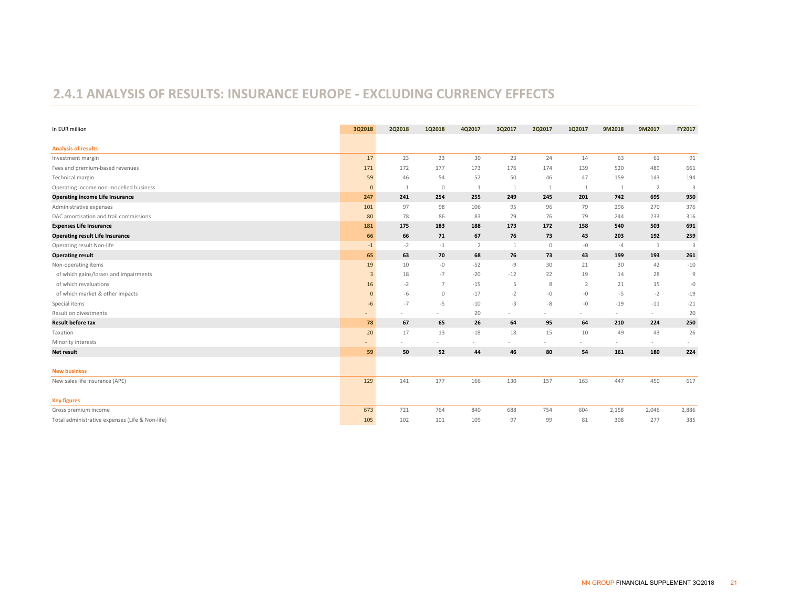#### **2.4.1 ANALYSIS OF RESULTS: INSURANCE EUROPE ‐ EXCLUDING CURRENCY EFFECTS**

| In EUR million                                  | 3Q2018                   | 2Q2018       | 1Q2018       | 4Q2017         | 3Q2017       | 2Q2017      | 1Q2017         | 9M2018 | 9M2017         | FY2017 |
|-------------------------------------------------|--------------------------|--------------|--------------|----------------|--------------|-------------|----------------|--------|----------------|--------|
| <b>Analysis of results</b>                      |                          |              |              |                |              |             |                |        |                |        |
| Investment margin                               | 17                       | 23           | 23           | 30             | 23           | 24          | 14             | 63     | 61             | 91     |
| Fees and premium-based revenues                 | 171                      | 172          | 177          | 173            | 176          | 174         | 139            | 520    | 489            | 661    |
| Technical margin                                | 59                       | 46           | 54           | 52             | 50           | 46          | 47             | 159    | 143            | 194    |
| Operating income non-modelled business          | $\mathbf{0}$             | $\mathbf{1}$ | $\mathbf{0}$ | 1              | $\mathbf{1}$ | 1           | 1              | 1      | $\overline{2}$ | 3      |
| <b>Operating income Life Insurance</b>          | 247                      | 241          | 254          | 255            | 249          | 245         | 201            | 742    | 695            | 950    |
| Administrative expenses                         | 101                      | 97           | 98           | 106            | 95           | 96          | 79             | 296    | 270            | 376    |
| DAC amortisation and trail commissions          | 80                       | 78           | 86           | 83             | 79           | 76          | 79             | 244    | 233            | 316    |
| <b>Expenses Life Insurance</b>                  | 181                      | 175          | 183          | 188            | 173          | 172         | 158            | 540    | 503            | 691    |
| <b>Operating result Life Insurance</b>          | 66                       | 66           | 71           | 67             | 76           | 73          | 43             | 203    | 192            | 259    |
| Operating result Non-life                       | $-1$                     | $-2$         | $-1$         | $\overline{2}$ | $\mathbf{1}$ | $\mathbb O$ | $-0$           | $-4$   | 1              | 3      |
| <b>Operating result</b>                         | 65                       | 63           | 70           | 68             | 76           | 73          | 43             | 199    | 193            | 261    |
| Non-operating items                             | 19                       | 10           | -0           | $-52$          | $-9$         | 30          | 21             | 30     | 42             | $-10$  |
| of which gains/losses and impairments           | 3                        | 18           | $-7$         | $-20$          | $-12$        | 22          | 19             | 14     | 28             | 9      |
| of which revaluations                           | 16                       | $-2$         | 7            | $-15$          | 5            | 8           | $\overline{2}$ | 21     | 15             | $-0$   |
| of which market & other impacts                 | $\Omega$                 | -6           | $\mathbf 0$  | $-17$          | $-2$         | $-0$        | -0             | $-5$   | $-2$           | $-19$  |
| Special items                                   | $-6$                     | $-7$         | $-5$         | $-10$          | $-3$         | -8          | $-0$           | $-19$  | $-11$          | $-21$  |
| Result on divestments                           |                          |              |              | 20             | $\sim$       |             | $\sim$         | $\sim$ | $\sim$         | 20     |
| <b>Result before tax</b>                        | 78                       | 67           | 65           | 26             | 64           | 95          | 64             | 210    | 224            | 250    |
| Taxation                                        | 20                       | 17           | 13           | $-18$          | 18           | 15          | 10             | 49     | 43             | 26     |
| Minority interests                              | $\overline{\phantom{a}}$ |              |              |                |              |             |                | $\sim$ | $\sim$         |        |
| <b>Net result</b>                               | 59                       | 50           | 52           | 44             | 46           | 80          | 54             | 161    | 180            | 224    |
| <b>New business</b>                             |                          |              |              |                |              |             |                |        |                |        |
| New sales life insurance (APE)                  | 129                      | 141          | 177          | 166            | 130          | 157         | 163            | 447    | 450            | 617    |
| <b>Key figures</b>                              |                          |              |              |                |              |             |                |        |                |        |
| Gross premium income                            | 673                      | 721          | 764          | 840            | 688          | 754         | 604            | 2,158  | 2,046          | 2,886  |
| Total administrative expenses (Life & Non-life) | 105                      | 102          | 101          | 109            | 97           | 99          | 81             | 308    | 277            | 385    |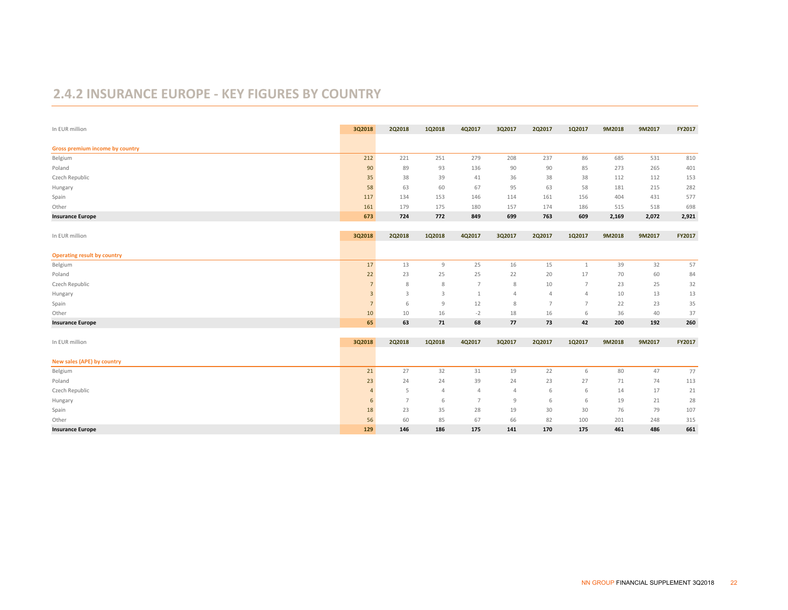#### **2.4.2 INSURANCE EUROPE ‐ KEY FIGURES BY COUNTRY**

| In EUR million                     | 3Q2018          | 2Q2018         | 1Q2018         | 4Q2017          | 3Q2017         | 2Q2017         | 1Q2017          | 9M2018 | 9M2017 | FY2017 |
|------------------------------------|-----------------|----------------|----------------|-----------------|----------------|----------------|-----------------|--------|--------|--------|
| Gross premium income by country    |                 |                |                |                 |                |                |                 |        |        |        |
| Belgium                            | 212             | 221            | 251            | 279             | 208            | 237            | 86              | 685    | 531    | 810    |
| Poland                             | 90              | 89             | 93             | 136             | 90             | 90             | 85              | 273    | 265    | 401    |
| Czech Republic                     | 35              | 38             | 39             | 41              | 36             | 38             | 38              | 112    | 112    | 153    |
| Hungary                            | 58              | 63             | 60             | 67              | 95             | 63             | 58              | 181    | 215    | 282    |
| Spain                              | 117             | 134            | 153            | 146             | 114            | 161            | 156             | 404    | 431    | 577    |
| Other                              | 161             | 179            | 175            | 180             | 157            | 174            | 186             | 515    | 518    | 698    |
| <b>Insurance Europe</b>            | 673             | 724            | 772            | 849             | 699            | 763            | 609             | 2,169  | 2,072  | 2,921  |
| In EUR million                     | 3Q2018          | 2Q2018         | 1Q2018         | 4Q2017          | 3Q2017         | 2Q2017         | 1Q2017          | 9M2018 | 9M2017 | FY2017 |
|                                    |                 |                |                |                 |                |                |                 |        |        |        |
| <b>Operating result by country</b> |                 |                |                |                 |                |                |                 |        |        |        |
| Belgium                            | 17              | 13             | 9              | 25              | 16             | 15             | $\mathbf{1}$    | 39     | 32     | 57     |
| Poland                             | 22              | 23             | 25             | 25              | 22             | 20             | 17              | 70     | 60     | 84     |
| Czech Republic                     |                 | 8              | 8              | 7               | 8              | 10             | $\overline{7}$  | 23     | 25     | 32     |
| Hungary                            | $\overline{3}$  | 3              | 3              | $\mathbf{1}$    | $\Delta$       | $\overline{4}$ | $\overline{4}$  | 10     | 13     | 13     |
| Spain                              | $\overline{7}$  | 6              | 9              | 12              | 8              | $\overline{7}$ | $7\overline{ }$ | 22     | 23     | 35     |
| Other                              | 10              | 10             | 16             | $-2$            | 18             | 16             | 6               | 36     | 40     | 37     |
| <b>Insurance Europe</b>            | 65              | 63             | 71             | 68              | 77             | 73             | 42              | 200    | 192    | 260    |
| In EUR million                     | 3Q2018          | 2Q2018         | 1Q2018         | 4Q2017          | 3Q2017         | 2Q2017         | 1Q2017          | 9M2018 | 9M2017 | FY2017 |
|                                    |                 |                |                |                 |                |                |                 |        |        |        |
| New sales (APE) by country         |                 |                |                |                 |                |                |                 |        |        |        |
| Belgium                            | 21              | 27             | 32             | 31              | 19             | 22             | 6               | 80     | 47     | 77     |
| Poland                             | 23              | 24             | 24             | 39              | 24             | 23             | 27              | 71     | 74     | 113    |
| Czech Republic                     | $\mathbf{A}$    | 5              | $\overline{4}$ | $\overline{4}$  | $\overline{4}$ | 6              | 6               | 14     | 17     | 21     |
| Hungary                            | $6\overline{6}$ | $\overline{7}$ | 6              | $7\overline{ }$ | 9              | 6              | 6               | 19     | 21     | 28     |
| Spain                              | 18              | 23             | 35             | 28              | 19             | 30             | 30              | 76     | 79     | 107    |
| Other                              | 56              | 60             | 85             | 67              | 66             | 82             | 100             | 201    | 248    | 315    |
| <b>Insurance Europe</b>            | 129             | 146            | 186            | 175             | 141            | 170            | 175             | 461    | 486    | 661    |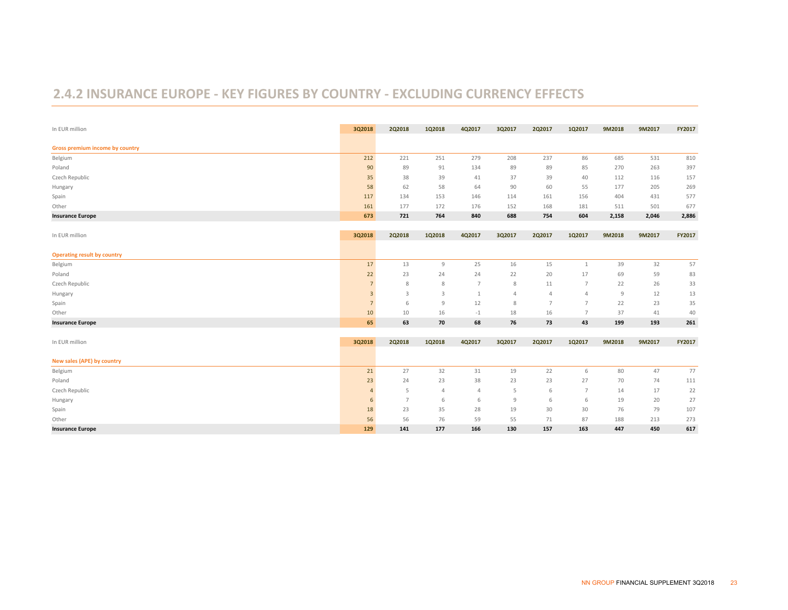#### **2.4.2 INSURANCE EUROPE ‐ KEY FIGURES BY COUNTRY ‐ EXCLUDING CURRENCY EFFECTS**

| In EUR million                     | 3Q2018         | 2Q2018         | 1Q2018         | 4Q2017         | 3Q2017         | 2Q2017         | 1Q2017          | 9M2018         | 9M2017 | FY2017 |
|------------------------------------|----------------|----------------|----------------|----------------|----------------|----------------|-----------------|----------------|--------|--------|
| Gross premium income by country    |                |                |                |                |                |                |                 |                |        |        |
| Belgium                            | 212            | 221            | 251            | 279            | 208            | 237            | 86              | 685            | 531    | 810    |
| Poland                             | 90             | 89             | 91             | 134            | 89             | 89             | 85              | 270            | 263    | 397    |
| Czech Republic                     | 35             | 38             | 39             | 41             | 37             | 39             | 40              | 112            | 116    | 157    |
| Hungary                            | 58             | 62             | 58             | 64             | 90             | 60             | 55              | 177            | 205    | 269    |
| Spain                              | 117            | 134            | 153            | 146            | 114            | 161            | 156             | 404            | 431    | 577    |
| Other                              | 161            | 177            | 172            | 176            | 152            | 168            | 181             | 511            | 501    | 677    |
| <b>Insurance Europe</b>            | 673            | 721            | 764            | 840            | 688            | 754            | 604             | 2,158          | 2,046  | 2,886  |
| In EUR million                     | 3Q2018         | 2Q2018         | 1Q2018         | 4Q2017         | 3Q2017         | 2Q2017         | 1Q2017          | 9M2018         | 9M2017 | FY2017 |
|                                    |                |                |                |                |                |                |                 |                |        |        |
| <b>Operating result by country</b> |                |                |                |                |                |                |                 |                |        |        |
| Belgium                            | $17\,$         | 13             | $\mathsf{9}$   | 25             | 16             | 15             | 1               | 39             | 32     | 57     |
| Poland                             | 22             | 23             | 24             | 24             | 22             | 20             | 17              | 69             | 59     | 83     |
| Czech Republic                     |                | 8              | 8              | 7              | 8              | 11             | $\overline{7}$  | 22             | 26     | 33     |
| Hungary                            | $\overline{3}$ | 3              | 3              | 1              | $\overline{4}$ | $\overline{4}$ | $\overline{4}$  | $\overline{9}$ | 12     | 13     |
| Spain                              | $\overline{7}$ | 6              | 9              | 12             | 8              | 7              | $\overline{7}$  | 22             | 23     | 35     |
| Other                              | 10             | 10             | 16             | $-1$           | 18             | 16             | $\overline{7}$  | 37             | 41     | 40     |
| <b>Insurance Europe</b>            | 65             | 63             | 70             | 68             | 76             | 73             | 43              | 199            | 193    | 261    |
| In EUR million                     | 3Q2018         | 2Q2018         | 1Q2018         | 4Q2017         | 3Q2017         | 2Q2017         | 1Q2017          | 9M2018         | 9M2017 | FY2017 |
|                                    |                |                |                |                |                |                |                 |                |        |        |
| New sales (APE) by country         |                |                |                |                |                |                |                 |                |        |        |
| Belgium                            | 21             | 27             | 32             | 31             | 19             | 22             | 6               | 80             | 47     | 77     |
| Poland                             | 23             | 24             | 23             | 38             | 23             | 23             | 27              | 70             | 74     | 111    |
| Czech Republic                     |                | 5              | $\overline{4}$ | $\overline{4}$ | 5              | 6              | $7\phantom{.0}$ | 14             | 17     | 22     |
| Hungary                            | 6              | $\overline{7}$ | 6              | 6              | 9              | 6              | 6               | 19             | 20     | 27     |
| Spain                              | 18             | 23             | 35             | 28             | 19             | 30             | 30              | 76             | 79     | 107    |
| Other                              | 56             | 56             | 76             | 59             | 55             | 71             | 87              | 188            | 213    | 273    |
| <b>Insurance Europe</b>            | 129            | 141            | 177            | 166            | 130            | 157            | 163             | 447            | 450    | 617    |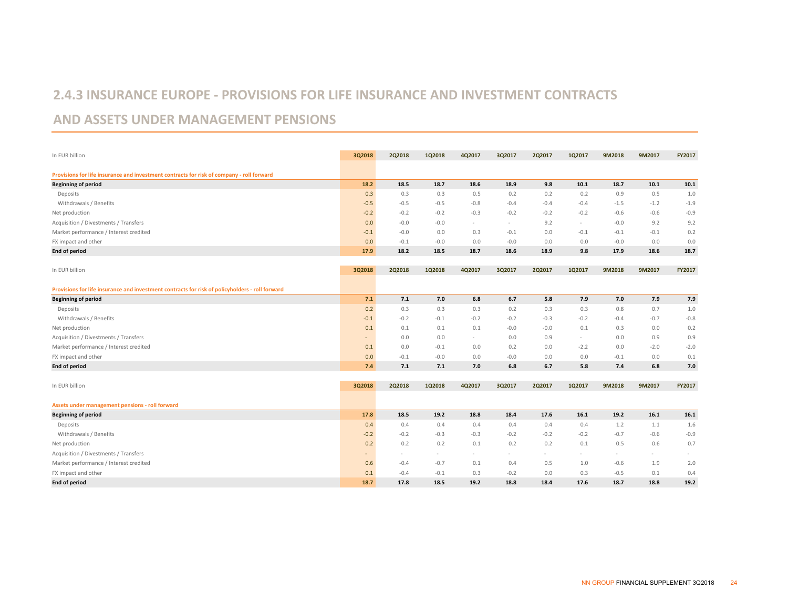#### **2.4.3 INSURANCE EUROPE ‐ PROVISIONS FOR LIFE INSURANCE AND INVESTMENT CONTRACTS**

#### **AND ASSETS UNDER MANAGEMENT PENSIONS**

| In EUR billion                                                                                  | 3Q2018 | 2Q2018 | 102018 | 4Q2017 | 3Q2017 | 2Q2017 | 1Q2017                   | 9M2018 | 9M2017 | <b>FY2017</b> |
|-------------------------------------------------------------------------------------------------|--------|--------|--------|--------|--------|--------|--------------------------|--------|--------|---------------|
| Provisions for life insurance and investment contracts for risk of company - roll forward       |        |        |        |        |        |        |                          |        |        |               |
| <b>Beginning of period</b>                                                                      | 18.2   | 18.5   | 18.7   | 18.6   | 18.9   | 9.8    | 10.1                     | 18.7   | 10.1   | 10.1          |
| Deposits                                                                                        | 0.3    | 0.3    | 0.3    | 0.5    | 0.2    | 0.2    | 0.2                      | 0.9    | 0.5    | 1.0           |
| Withdrawals / Benefits                                                                          | $-0.5$ | $-0.5$ | $-0.5$ | $-0.8$ | $-0.4$ | $-0.4$ | $-0.4$                   | $-1.5$ | $-1.2$ | $-1.9$        |
| Net production                                                                                  | $-0.2$ | $-0.2$ | $-0.2$ | $-0.3$ | $-0.2$ | $-0.2$ | $-0.2$                   | $-0.6$ | $-0.6$ | $-0.9$        |
| Acquisition / Divestments / Transfers                                                           | 0.0    | $-0.0$ | $-0.0$ | $\sim$ | $\sim$ | 9.2    | $\sim$                   | $-0.0$ | 9.2    | 9.2           |
| Market performance / Interest credited                                                          | $-0.1$ | $-0.0$ | 0.0    | 0.3    | $-0.1$ | 0.0    | $-0.1$                   | $-0.1$ | $-0.1$ | 0.2           |
| FX impact and other                                                                             | 0.0    | $-0.1$ | $-0.0$ | 0.0    | $-0.0$ | 0.0    | 0.0                      | $-0.0$ | 0.0    | 0.0           |
| <b>End of period</b>                                                                            | 17.9   | 18.2   | 18.5   | 18.7   | 18.6   | 18.9   | 9.8                      | 17.9   | 18.6   | 18.7          |
| In EUR billion                                                                                  | 3Q2018 | 2Q2018 | 1Q2018 | 4Q2017 | 3Q2017 | 2Q2017 | 1Q2017                   | 9M2018 | 9M2017 | FY2017        |
| Provisions for life insurance and investment contracts for risk of policyholders - roll forward |        |        |        |        |        |        |                          |        |        |               |
| <b>Beginning of period</b>                                                                      | 7.1    | 7.1    | 7.0    | 6.8    | 6.7    | 5.8    | 7.9                      | 7.0    | 7.9    | 7.9           |
| Deposits                                                                                        | 0.2    | 0.3    | 0.3    | 0.3    | 0.2    | 0.3    | 0.3                      | 0.8    | 0.7    | $1.0$         |
| Withdrawals / Benefits                                                                          | $-0.1$ | $-0.2$ | $-0.1$ | $-0.2$ | $-0.2$ | $-0.3$ | $-0.2$                   | $-0.4$ | $-0.7$ | $-0.8$        |
| Net production                                                                                  | 0.1    | 0.1    | 0.1    | 0.1    | $-0.0$ | $-0.0$ | 0.1                      | 0.3    | 0.0    | 0.2           |
| Acquisition / Divestments / Transfers                                                           | ٠      | 0.0    | 0.0    | $\sim$ | 0.0    | 0.9    | $\sim$                   | 0.0    | 0.9    | 0.9           |
| Market performance / Interest credited                                                          | 0.1    | 0.0    | $-0.1$ | 0.0    | 0.2    | 0.0    | $-2.2$                   | 0.0    | $-2.0$ | $-2.0$        |
| FX impact and other                                                                             | 0.0    | $-0.1$ | $-0.0$ | 0.0    | $-0.0$ | 0.0    | 0.0                      | $-0.1$ | 0.0    | 0.1           |
| <b>End of period</b>                                                                            | 7.4    | 7.1    | 7.1    | 7.0    | 6.8    | 6.7    | 5.8                      | 7.4    | 6.8    | 7.0           |
| In EUR billion                                                                                  | 3Q2018 | 2Q2018 | 1Q2018 | 4Q2017 | 3Q2017 | 2Q2017 | 1Q2017                   | 9M2018 | 9M2017 | FY2017        |
|                                                                                                 |        |        |        |        |        |        |                          |        |        |               |
| Assets under management pensions - roll forward                                                 |        |        |        |        |        |        |                          |        |        |               |
| <b>Beginning of period</b>                                                                      | 17.8   | 18.5   | 19.2   | 18.8   | 18.4   | 17.6   | 16.1                     | 19.2   | 16.1   | 16.1          |
| Deposits                                                                                        | 0.4    | 0.4    | 0.4    | 0.4    | 0.4    | 0.4    | 0.4                      | 1.2    | 1.1    | 1.6           |
| Withdrawals / Benefits                                                                          | $-0.2$ | $-0.2$ | $-0.3$ | $-0.3$ | $-0.2$ | $-0.2$ | $-0.2$                   | $-0.7$ | $-0.6$ | $-0.9$        |
| Net production                                                                                  | 0.2    | 0.2    | 0.2    | 0.1    | 0.2    | 0.2    | 0.1                      | 0.5    | 0.6    | 0.7           |
| Acquisition / Divestments / Transfers                                                           | ÷      |        |        |        |        |        | $\overline{\phantom{a}}$ | $\sim$ | $\sim$ |               |
| Market performance / Interest credited                                                          | 0.6    | $-0.4$ | $-0.7$ | 0.1    | 0.4    | 0.5    | 1.0                      | $-0.6$ | 1.9    | 2.0           |
| FX impact and other                                                                             | 0.1    | $-0.4$ | $-0.1$ | 0.3    | $-0.2$ | 0.0    | 0.3                      | $-0.5$ | 0.1    | 0.4           |
| End of period                                                                                   | 18.7   | 17.8   | 18.5   | 19.2   | 18.8   | 18.4   | 17.6                     | 18.7   | 18.8   | 19.2          |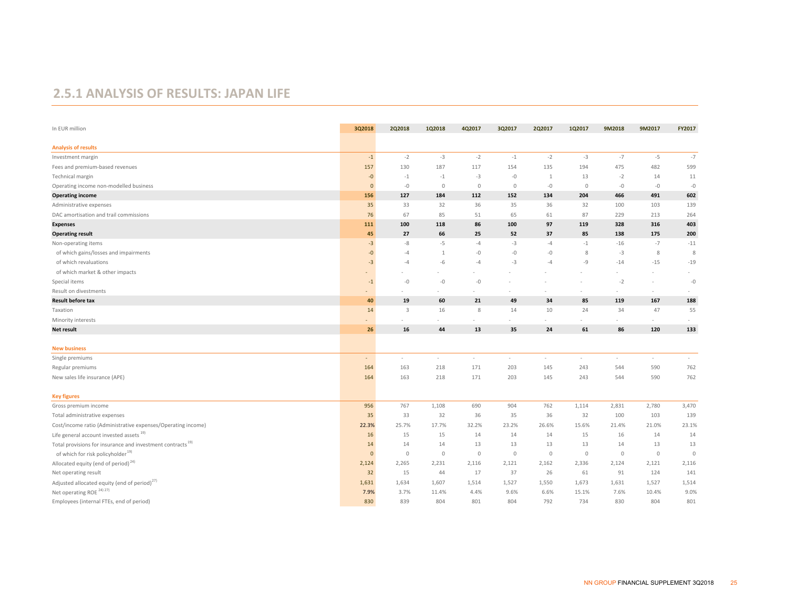#### **2.5.1 ANALYSIS OF RESULTS: JAPAN LIFE**

| In EUR million                                                         | 3Q2018       | 2Q2018  | 1Q2018       | 4Q2017  | 3Q2017       | 2Q2017  | 1Q2017      | 9M2018  | 9M2017      | FY2017  |
|------------------------------------------------------------------------|--------------|---------|--------------|---------|--------------|---------|-------------|---------|-------------|---------|
| <b>Analysis of results</b>                                             |              |         |              |         |              |         |             |         |             |         |
| Investment margin                                                      | $-1$         | $-2$    | $-3$         | $-2$    | $-1$         | $-2$    | $-3$        | $-7$    | $-5$        | $-7$    |
| Fees and premium-based revenues                                        | 157          | 130     | 187          | 117     | 154          | 135     | 194         | 475     | 482         | 599     |
| Technical margin                                                       | $-0$         | $-1$    | $-1$         | $-3$    | $-0$         | 1       | 13          | $-2$    | 14          | 11      |
| Operating income non-modelled business                                 | $\mathbf{0}$ | $-0$    | $\mathbf{0}$ | $\circ$ | $\mathbf{0}$ | $-0$    | $\circ$     | $-0$    | $-0$        | $-0$    |
| <b>Operating income</b>                                                | 156          | 127     | 184          | 112     | 152          | 134     | 204         | 466     | 491         | 602     |
| Administrative expenses                                                | 35           | 33      | 32           | 36      | 35           | 36      | 32          | 100     | 103         | 139     |
| DAC amortisation and trail commissions                                 | 76           | 67      | 85           | 51      | 65           | 61      | 87          | 229     | 213         | 264     |
| <b>Expenses</b>                                                        | 111          | 100     | 118          | 86      | 100          | 97      | 119         | 328     | 316         | 403     |
| <b>Operating result</b>                                                | 45           | 27      | 66           | 25      | 52           | 37      | 85          | 138     | 175         | 200     |
| Non-operating items                                                    | $-3$         | $-8$    | $-5$         | $-4$    | $-3$         | $-4$    | $-1$        | $-16$   | $-7$        | $-11$   |
| of which gains/losses and impairments                                  | $-0$         | -4      | $\mathbf{1}$ | $-0$    | $-0$         | $-0$    | 8           | $-3$    | 8           | 8       |
| of which revaluations                                                  | $-3$         | $-4$    | -6           | $-4$    | $-3$         | $-4$    | -9          | $-14$   | $-15$       | $-19$   |
| of which market & other impacts                                        |              |         |              |         |              |         |             | $\sim$  |             |         |
| Special items                                                          | $-1$         | $-0$    | $-0$         | $-0$    |              |         |             | $-2$    | $\sim$      | $-0$    |
| Result on divestments                                                  |              |         |              |         |              |         |             | $\sim$  | $\sim$      |         |
| <b>Result before tax</b>                                               | 40           | 19      | 60           | 21      | 49           | 34      | 85          | 119     | 167         | 188     |
| Taxation                                                               | 14           | 3       | 16           | 8       | 14           | 10      | 24          | 34      | 47          | 55      |
| Minority interests                                                     |              |         |              |         |              |         |             |         | $\sim$      |         |
| <b>Net result</b>                                                      | 26           | 16      | 44           | 13      | 35           | 24      | 61          | 86      | 120         | 133     |
|                                                                        |              |         |              |         |              |         |             |         |             |         |
| <b>New business</b>                                                    |              |         |              |         |              |         |             |         |             |         |
| Single premiums                                                        | $\sim$       | $\sim$  | $\sim$       | $\sim$  | $\sim$       | $\sim$  | $\sim$      | $\sim$  | $\sim$      | $\sim$  |
| Regular premiums                                                       | 164          | 163     | 218          | 171     | 203          | 145     | 243         | 544     | 590         | 762     |
| New sales life insurance (APE)                                         | 164          | 163     | 218          | 171     | 203          | 145     | 243         | 544     | 590         | 762     |
|                                                                        |              |         |              |         |              |         |             |         |             |         |
| <b>Key figures</b>                                                     |              |         |              |         |              |         |             |         |             |         |
| Gross premium income                                                   | 956          | 767     | 1,108        | 690     | 904          | 762     | 1,114       | 2,831   | 2,780       | 3,470   |
| Total administrative expenses                                          | 35           | 33      | 32           | 36      | 35           | 36      | 32          | 100     | 103         | 139     |
| Cost/income ratio (Administrative expenses/Operating income)           | 22.3%        | 25.7%   | 17.7%        | 32.2%   | 23.2%        | 26.6%   | 15.6%       | 21.4%   | 21.0%       | 23.1%   |
| Life general account invested assets <sup>19)</sup>                    | 16           | 15      | 15           | 14      | 14           | 14      | 15          | 16      | 14          | 14      |
| Total provisions for insurance and investment contracts <sup>19)</sup> | 14           | 14      | 14           | 13      | 13           | 13      | 13          | 14      | 13          | 13      |
| of which for risk policyholder <sup>19)</sup>                          | $\mathbf{0}$ | $\circ$ | $\circ$      | $\circ$ | $\mathbf 0$  | $\circ$ | $\mathbf 0$ | $\circ$ | $\mathbb O$ | $\circ$ |
| Allocated equity (end of period) <sup>24)</sup>                        | 2,124        | 2,265   | 2,231        | 2,116   | 2,121        | 2,162   | 2,336       | 2,124   | 2,121       | 2,116   |
| Net operating result                                                   | 32           | 15      | 44           | 17      | 37           | 26      | 61          | 91      | 124         | 141     |
| Adjusted allocated equity (end of period) <sup>27)</sup>               | 1,631        | 1,634   | 1,607        | 1,514   | 1,527        | 1,550   | 1,673       | 1,631   | 1,527       | 1,514   |
| Net operating ROE <sup>24)27)</sup>                                    | 7.9%         | 3.7%    | 11.4%        | 4.4%    | 9.6%         | 6.6%    | 15.1%       | 7.6%    | 10.4%       | 9.0%    |
| Employees (internal FTEs, end of period)                               | 830          | 839     | 804          | 801     | 804          | 792     | 734         | 830     | 804         | 801     |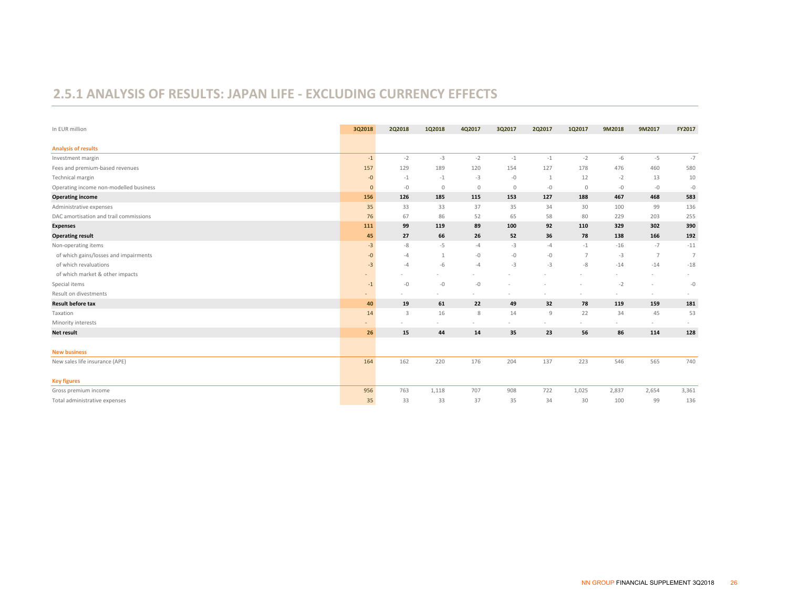#### **2.5.1 ANALYSIS OF RESULTS: JAPAN LIFE ‐ EXCLUDING CURRENCY EFFECTS**

| In EUR million                         | 3Q2018                   | 2Q2018 | 1Q2018  | 4Q2017      | 3Q2017       | 2Q2017 | 1Q2017         | 9M2018 | 9M2017         | FY2017         |
|----------------------------------------|--------------------------|--------|---------|-------------|--------------|--------|----------------|--------|----------------|----------------|
| <b>Analysis of results</b>             |                          |        |         |             |              |        |                |        |                |                |
| Investment margin                      | $-1$                     | $-2$   | $-3$    | $-2$        | $-1$         | $-1$   | $-2$           | -6     | $-5$           | $-7$           |
| Fees and premium-based revenues        | 157                      | 129    | 189     | 120         | 154          | 127    | 178            | 476    | 460            | 580            |
| Technical margin                       | $-0$                     | $-1$   | $-1$    | $-3$        | $-0$         | 1      | 12             | $-2$   | 13             | 10             |
| Operating income non-modelled business | $\mathbf{0}$             | $-0$   | $\circ$ | $\mathbb O$ | $\mathbf{0}$ | $-0$   | $\circ$        | $-0$   | $-0$           | $-0$           |
| <b>Operating income</b>                | 156                      | 126    | 185     | 115         | 153          | 127    | 188            | 467    | 468            | 583            |
| Administrative expenses                | 35                       | 33     | 33      | 37          | 35           | 34     | 30             | 100    | 99             | 136            |
| DAC amortisation and trail commissions | 76                       | 67     | 86      | 52          | 65           | 58     | 80             | 229    | 203            | 255            |
| <b>Expenses</b>                        | 111                      | 99     | 119     | 89          | 100          | 92     | 110            | 329    | 302            | 390            |
| <b>Operating result</b>                | 45                       | 27     | 66      | 26          | 52           | 36     | 78             | 138    | 166            | 192            |
| Non-operating items                    | $-3$                     | -8     | -5      | $-4$        | $-3$         | $-4$   | $-1$           | $-16$  | $-7$           | $-11$          |
| of which gains/losses and impairments  | $-0$                     | $-4$   |         | -0          | $-0$         | -0     | $\overline{7}$ | $-3$   | $\overline{7}$ | $\overline{7}$ |
| of which revaluations                  | $-3$                     | $-4$   | $-6$    | $-4$        | $-3$         | $-3$   | -8             | $-14$  | $-14$          | $-18$          |
| of which market & other impacts        |                          |        |         |             |              |        |                |        |                |                |
| Special items                          | $-1$                     | $-0$   | $-0$    | $-0$        |              |        |                | $-2$   |                | $-0$           |
| Result on divestments                  | $\overline{\phantom{a}}$ |        |         |             |              |        | $\sim$         | $\sim$ | $\sim$         |                |
| <b>Result before tax</b>               | 40                       | 19     | 61      | 22          | 49           | 32     | 78             | 119    | 159            | 181            |
| Taxation                               | 14                       | 3      | 16      | 8           | 14           | $9$    | 22             | 34     | 45             | 53             |
| Minority interests                     |                          |        |         |             |              |        | $\sim$         |        | $\sim$         |                |
| Net result                             | 26                       | 15     | 44      | 14          | 35           | 23     | 56             | 86     | 114            | 128            |
| <b>New business</b>                    |                          |        |         |             |              |        |                |        |                |                |
| New sales life insurance (APE)         | 164                      | 162    | 220     | 176         | 204          | 137    | 223            | 546    | 565            | 740            |
| <b>Key figures</b>                     |                          |        |         |             |              |        |                |        |                |                |
| Gross premium income                   | 956                      | 763    | 1,118   | 707         | 908          | 722    | 1,025          | 2,837  | 2,654          | 3,361          |
| Total administrative expenses          | 35                       | 33     | 33      | 37          | 35           | 34     | 30             | 100    | 99             | 136            |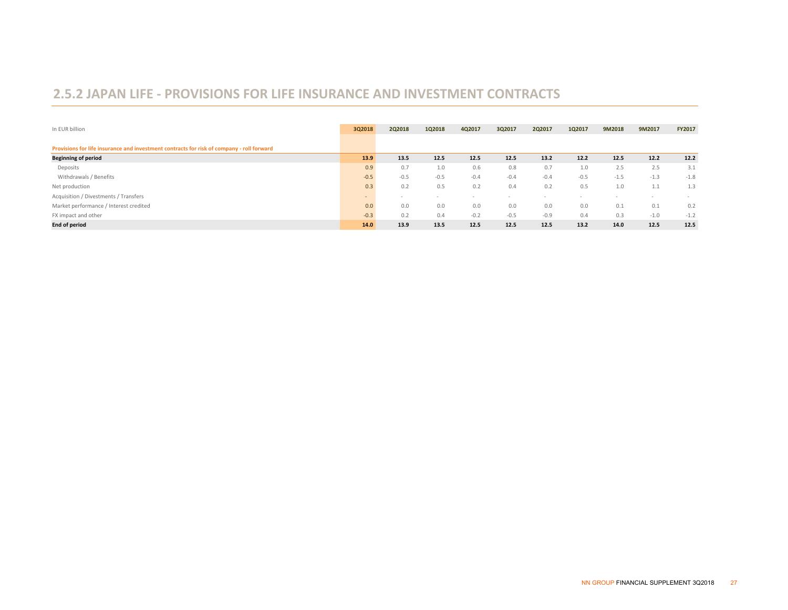#### **2.5.2 JAPAN LIFE ‐ PROVISIONS FOR LIFE INSURANCE AND INVESTMENT CONTRACTS**

| In EUR billion                                                                            | 3Q2018         | 2Q2018 | 1Q2018                   | 4Q2017 | 3Q2017 | 2Q2017 | 1Q2017 | 9M2018 | 9M2017                   | FY2017 |
|-------------------------------------------------------------------------------------------|----------------|--------|--------------------------|--------|--------|--------|--------|--------|--------------------------|--------|
|                                                                                           |                |        |                          |        |        |        |        |        |                          |        |
| Provisions for life insurance and investment contracts for risk of company - roll forward |                |        |                          |        |        |        |        |        |                          |        |
| <b>Beginning of period</b>                                                                | 13.9           | 13.5   | 12.5                     | 12.5   | 12.5   | 13.2   | 12.2   | 12.5   | 12.2                     | 12.2   |
| Deposits                                                                                  | 0.9            | 0.7    | 1.0                      | 0.6    | 0.8    | 0.7    | 1.0    | 2.5    | 2.5                      | 3.1    |
| Withdrawals / Benefits                                                                    | $-0.5$         | $-0.5$ | $-0.5$                   | $-0.4$ | $-0.4$ | $-0.4$ | $-0.5$ | $-1.5$ | $-1.3$                   | $-1.8$ |
| Net production                                                                            | 0.3            | 0.2    | 0.5                      | 0.2    | 0.4    | 0.2    | 0.5    | 1.0    | 11<br>1.1                | 1.3    |
| Acquisition / Divestments / Transfers                                                     | $\overline{a}$ |        | $\overline{\phantom{a}}$ |        |        |        |        |        | $\overline{\phantom{a}}$ |        |
| Market performance / Interest credited                                                    | 0.0            | 0.0    | 0.0                      | 0.0    | 0.0    | 0.0    | 0.0    | 0.1    | 0.1                      | 0.2    |
| FX impact and other                                                                       | $-0.3$         | 0.2    | 0.4                      | $-0.2$ | $-0.5$ | $-0.9$ | 0.4    | 0.3    | $-1.0$                   | $-1.2$ |
| <b>End of period</b>                                                                      | 14.0           | 13.9   | 13.5                     | 12.5   | 12.5   | 12.5   | 13.2   | 14.0   | 12.5                     | 12.5   |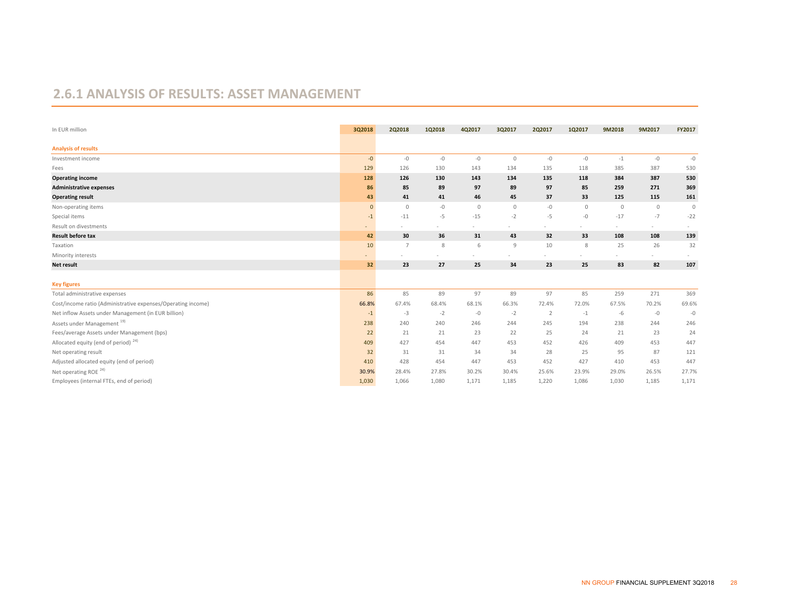#### **2.6.1 ANALYSIS OF RESULTS: ASSET MANAGEMENT**

| In EUR million                                               | 3Q2018       | 2Q2018      | 1Q2018 | 4Q2017      | 3Q2017      | 2Q2017         | 1Q2017         | 9M2018  | 9M2017      | FY2017      |
|--------------------------------------------------------------|--------------|-------------|--------|-------------|-------------|----------------|----------------|---------|-------------|-------------|
| <b>Analysis of results</b>                                   |              |             |        |             |             |                |                |         |             |             |
| Investment income                                            | $-0$         | $-0$        | $-0$   | $-0$        | $\mathbb O$ | $-0$           | $-{\mathbb O}$ | $-1$    | $-0$        | $-0$        |
| Fees                                                         | 129          | 126         | 130    | 143         | 134         | 135            | 118            | 385     | 387         | 530         |
| <b>Operating income</b>                                      | 128          | 126         | 130    | 143         | 134         | 135            | 118            | 384     | 387         | 530         |
| <b>Administrative expenses</b>                               | 86           | 85          | 89     | 97          | 89          | 97             | 85             | 259     | 271         | 369         |
| <b>Operating result</b>                                      | 43           | 41          | 41     | 46          | 45          | 37             | 33             | 125     | 115         | 161         |
| Non-operating items                                          | $\mathbf{0}$ | $\mathbb O$ | -0     | $\mathbb O$ | $\mathbb O$ | $-0$           | $\mathbb O$    | $\circ$ | $\mathbb O$ | $\mathbb O$ |
| Special items                                                | $-1$         | $-11$       | $-5$   | $-15$       | $-2$        | $-5$           | $-0$           | $-17$   | $-7$        | $-22$       |
| Result on divestments                                        |              |             |        |             |             |                |                | $\sim$  | $\sim$      |             |
| <b>Result before tax</b>                                     | 42           | 30          | 36     | 31          | 43          | 32             | 33             | 108     | 108         | 139         |
| Taxation                                                     | 10           | 7           | 8      | 6           | 9           | 10             | 8              | 25      | 26          | 32          |
| Minority interests                                           |              |             |        |             |             |                |                |         |             |             |
| Net result                                                   | 32           | 23          | 27     | 25          | 34          | 23             | 25             | 83      | 82          | 107         |
|                                                              |              |             |        |             |             |                |                |         |             |             |
| <b>Key figures</b>                                           |              |             |        |             |             |                |                |         |             |             |
| Total administrative expenses                                | 86           | 85          | 89     | 97          | 89          | 97             | 85             | 259     | 271         | 369         |
| Cost/income ratio (Administrative expenses/Operating income) | 66.8%        | 67.4%       | 68.4%  | 68.1%       | 66.3%       | 72.4%          | 72.0%          | 67.5%   | 70.2%       | 69.6%       |
| Net inflow Assets under Management (in EUR billion)          | $-1$         | $-3$        | $-2$   | $-0$        | $-2$        | $\overline{2}$ | $-1$           | $-6$    | $-0$        | $-0$        |
| Assets under Management <sup>19)</sup>                       | 238          | 240         | 240    | 246         | 244         | 245            | 194            | 238     | 244         | 246         |
| Fees/average Assets under Management (bps)                   | 22           | 21          | 21     | 23          | 22          | 25             | 24             | 21      | 23          | 24          |
| Allocated equity (end of period) $24$ )                      | 409          | 427         | 454    | 447         | 453         | 452            | 426            | 409     | 453         | 447         |
| Net operating result                                         | 32           | 31          | 31     | 34          | 34          | 28             | 25             | 95      | 87          | 121         |
| Adjusted allocated equity (end of period)                    | 410          | 428         | 454    | 447         | 453         | 452            | 427            | 410     | 453         | 447         |
| Net operating ROE <sup>24)</sup>                             | 30.9%        | 28.4%       | 27.8%  | 30.2%       | 30.4%       | 25.6%          | 23.9%          | 29.0%   | 26.5%       | 27.7%       |
| Employees (internal FTEs, end of period)                     | 1,030        | 1,066       | 1,080  | 1,171       | 1,185       | 1,220          | 1,086          | 1,030   | 1,185       | 1,171       |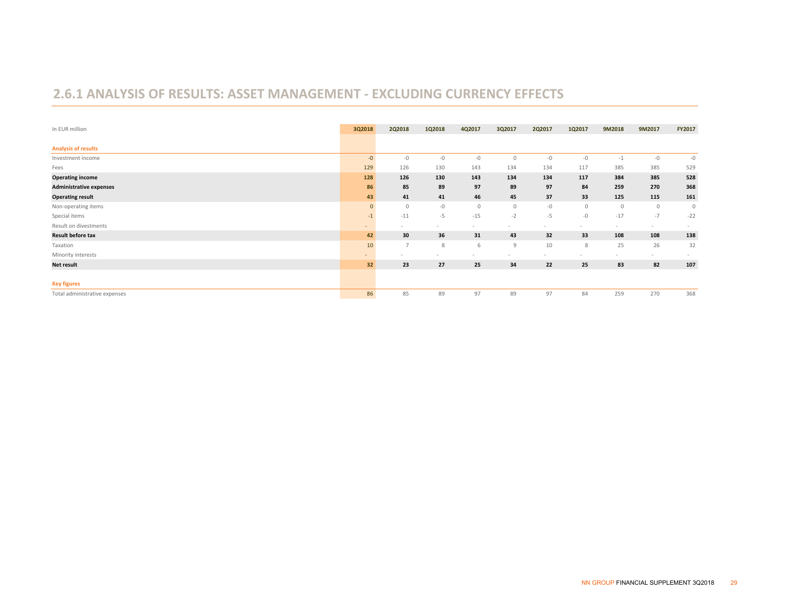#### **2.6.1 ANALYSIS OF RESULTS: ASSET MANAGEMENT ‐ EXCLUDING CURRENCY EFFECTS**

| In EUR million                 | 3Q2018         | <b>2Q2018</b>  | 1Q2018 | 4Q2017      | 3Q2017      | <b>2Q2017</b> | 1Q2017  | 9M2018  | 9M2017  | FY2017  |
|--------------------------------|----------------|----------------|--------|-------------|-------------|---------------|---------|---------|---------|---------|
| <b>Analysis of results</b>     |                |                |        |             |             |               |         |         |         |         |
| Investment income              | $-0$           | $-0$           | $-0$   | $-0$        | $\mathbb O$ | $-0$          | $-0$    | $-1$    | $-0$    | $-0$    |
| Fees                           | 129            | 126            | 130    | 143         | 134         | 134           | 117     | 385     | 385     | 529     |
| <b>Operating income</b>        | 128            | 126            | 130    | 143         | 134         | 134           | 117     | 384     | 385     | 528     |
| <b>Administrative expenses</b> | 86             | 85             | 89     | 97          | 89          | 97            | 84      | 259     | 270     | 368     |
| <b>Operating result</b>        | 43             | 41             | 41     | 46          | 45          | 37            | 33      | 125     | 115     | 161     |
| Non-operating items            | $\mathbf{0}$   | 0              | $-0$   | $\mathbb O$ | $\mathbb O$ | $-0$          | $\circ$ | $\circ$ | $\circ$ | $\circ$ |
| Special items                  | $-1$           | $-11$          | $-5$   | $-15$       | $-2$        | $-5$          | $-0$    | $-17$   | $-7$    | $-22$   |
| Result on divestments          | $\overline{a}$ |                |        |             |             |               |         | $\sim$  | $\sim$  |         |
| <b>Result before tax</b>       | 42             | 30             | 36     | 31          | 43          | 32            | 33      | 108     | 108     | 138     |
| Taxation                       | 10             | $\overline{7}$ | 8      | 6           | 9           | 10            | 8       | 25      | 26      | 32      |
| Minority interests             | $\overline{a}$ |                | $\sim$ |             | $\sim$      |               | $\sim$  | $\sim$  | $\sim$  | $\sim$  |
| <b>Net result</b>              | 32             | 23             | 27     | 25          | 34          | 22            | 25      | 83      | 82      | 107     |
|                                |                |                |        |             |             |               |         |         |         |         |
| <b>Key figures</b>             |                |                |        |             |             |               |         |         |         |         |
| Total administrative expenses  | 86             | 85             | 89     | 97          | 89          | 97            | 84      | 259     | 270     | 368     |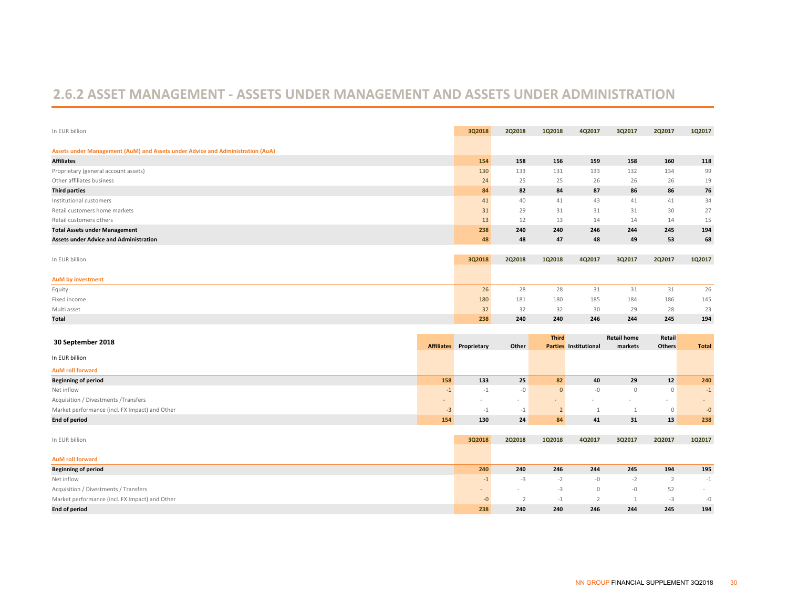#### **2.6.2 ASSET MANAGEMENT ‐ ASSETS UNDER MANAGEMENT AND ASSETS UNDER ADMINISTRATION**

| In EUR billion                                                                 | 3Q2018 | 2Q2018 | 1Q2018 | 4Q2017 | 3Q2017 | <b>2Q2017</b> | 1Q2017 |
|--------------------------------------------------------------------------------|--------|--------|--------|--------|--------|---------------|--------|
| Assets under Management (AuM) and Assets under Advice and Administration (AuA) |        |        |        |        |        |               |        |
| <b>Affiliates</b>                                                              | 154    | 158    | 156    | 159    | 158    | 160           | 118    |
| Proprietary (general account assets)                                           | 130    | 133    | 131    | 133    | 132    | 134           | 99     |
| Other affiliates business                                                      | 24     | 25     | 25     | 26     | 26     | 26            | 19     |
| <b>Third parties</b>                                                           | 84     | 82     | 84     | 87     | 86     | 86            | 76     |
| Institutional customers                                                        | 41     | 40     | 41     | 43     | 41     | 41            | 34     |
| Retail customers home markets                                                  | 31     | 29     | 31     | 31     | 31     | 30            | 27     |
| Retail customers others                                                        | 13     | 12     | 13     | 14     | 14     | 14            | 15     |
| <b>Total Assets under Management</b>                                           | 238    | 240    | 240    | 246    | 244    | 245           | 194    |
| <b>Assets under Advice and Administration</b>                                  | 48     | 48     | 47     | 48     | 49     | 53            | 68     |
|                                                                                |        |        |        |        |        |               |        |

| In EUR billion    | 3Q2018 | 2Q2018 | 1Q2018 | 4Q2017 | 3Q2017 | <b>2Q2017</b> | 1Q2017 |
|-------------------|--------|--------|--------|--------|--------|---------------|--------|
|                   |        |        |        |        |        |               |        |
| AuM by investment |        |        |        |        |        |               |        |
| Equity            | 26     | 28     | 28     | 31     | 31     | 31            | 26     |
| Fixed income      | 180    | 181    | 180    | 185    | 184    | 186           | 145    |
| Multi asset       |        | 32     | 32     | 30     | 29     | 28            | 23     |
| <b>Total</b>      | 238    | 240    | 240    | 246    | 244    | 245           | 194    |

| 30 September 2018                              |     | <b>Affiliates</b> Proprietary | Other  | <b>Third</b> | <b>Parties Institutional</b> | <b>Retail home</b><br>markets | Retail<br><b>Others</b> | <b>Total</b> |
|------------------------------------------------|-----|-------------------------------|--------|--------------|------------------------------|-------------------------------|-------------------------|--------------|
| In EUR billion                                 |     |                               |        |              |                              |                               |                         |              |
| <b>AuM roll forward</b>                        |     |                               |        |              |                              |                               |                         |              |
| <b>Beginning of period</b>                     | 158 | 133                           | 25     | 82           | 40                           | 29                            | 12                      | 240          |
| Net inflow                                     | $-$ | -1                            | $-0$   |              | -0                           | 0                             | $\Omega$                | $-1$         |
| Acquisition / Divestments /Transfers           |     | -                             | $\sim$ |              |                              |                               | $\sim$                  | $\sim$       |
| Market performance (incl. FX Impact) and Other | -3  |                               | -1     |              |                              |                               | $\Omega$                | $-0$         |
| <b>End of period</b>                           | 154 | 130                           | 24     | 84           | 41                           | 31                            | 13                      | 238          |

| In EUR billion                                 | 3Q2018                   | 2Q2018                   | 1Q2018 | 4Q2017 | 3Q2017 | 2Q2017 | 1Q2017 |
|------------------------------------------------|--------------------------|--------------------------|--------|--------|--------|--------|--------|
|                                                |                          |                          |        |        |        |        |        |
| <b>AuM roll forward</b>                        |                          |                          |        |        |        |        |        |
| <b>Beginning of period</b>                     | 240                      | 240                      | 246    | 244    | 245    | 194    | 195    |
| Net inflow                                     |                          | $-5$                     |        | $-0$   | $-1$   |        | $-1$   |
| Acquisition / Divestments / Transfers          | $\overline{\phantom{a}}$ | $\overline{\phantom{a}}$ | -3     |        | $-0$   | 52     | $\sim$ |
| Market performance (incl. FX Impact) and Other | $\sim$<br>-O             |                          |        |        |        | -3     | $-()$  |
| <b>End of period</b>                           | 238                      | 240                      | 240    | 246    | 244    | 245    | 194    |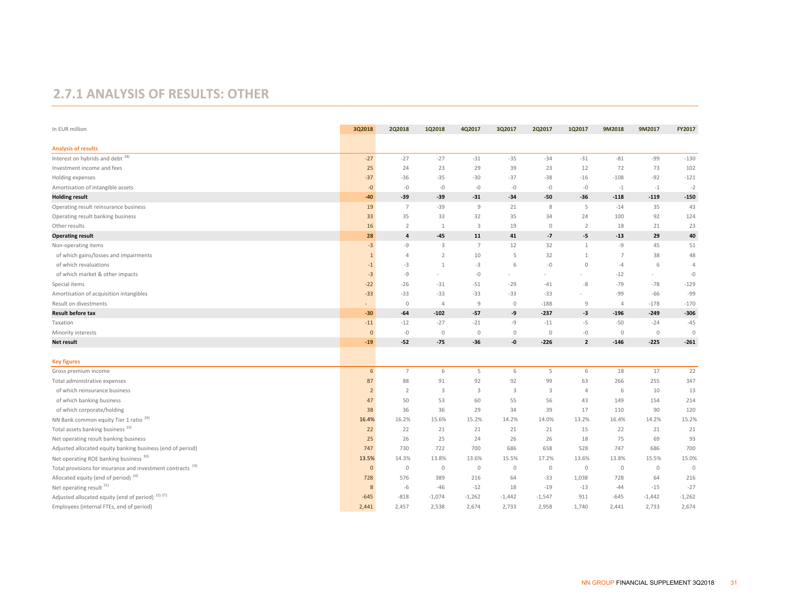#### **2.7.1 ANALYSIS OF RESULTS: OTHER**

| In EUR million                                                         | 3Q2018               | 2Q2018         | 1Q2018         | 4Q2017         | 3Q2017      | 2Q2017         | 1Q2017         | 9M2018         | 9M2017       | FY2017         |
|------------------------------------------------------------------------|----------------------|----------------|----------------|----------------|-------------|----------------|----------------|----------------|--------------|----------------|
| <b>Analysis of results</b>                                             |                      |                |                |                |             |                |                |                |              |                |
| Interest on hybrids and debt 28)                                       | $-27$                | $-27$          | $-27$          | $-31$          | $-35$       | $-34$          | $-31$          | $-81$          | -99          | $-130$         |
| Investment income and fees                                             | 25                   | 24             | 23             | 29             | 39          | 23             | 12             | 72             | 73           | 102            |
| Holding expenses                                                       | $-37$                | $-36$          | $-35$          | $-30$          | $-37$       | $-38$          | $-16$          | $-108$         | $-92$        | $-121$         |
| Amortisation of intangible assets                                      | $-0$                 | $-0$           | $-0$           | $-0$           | $-0$        | $-0$           | $-0$           | $-1$           | $-1$         | $-2$           |
| <b>Holding result</b>                                                  | $-40$                | $-39$          | $-39$          | $-31$          | $-34$       | $-50$          | $-36$          | $-118$         | $-119$       | $-150$         |
| Operating result reinsurance business                                  | 19                   | $\overline{7}$ | $-39$          | 9              | 21          | 8              | 5              | $-14$          | 35           | 43             |
| Operating result banking business                                      | 33                   | 35             | 33             | 32             | 35          | 34             | 24             | 100            | 92           | 124            |
| Other results                                                          | 16                   | $\overline{2}$ | $\mathbf{1}$   | 3              | 19          | $\mathbb O$    | $\overline{2}$ | 18             | 21           | 23             |
| <b>Operating result</b>                                                | 28                   | 4              | $-45$          | 11             | 41          | $-7$           | -5             | $-13$          | 29           | 40             |
| Non-operating items                                                    | $-3$                 | -9             | 3              | 7              | 12          | 32             | $\mathbf{1}$   | -9             | 45           | 51             |
| of which gains/losses and impairments                                  | $\mathbf{1}$         | $\Delta$       | $\overline{2}$ | 10             | 5           | 32             | $\mathbf{1}$   | $\overline{7}$ | 38           | 48             |
| of which revaluations                                                  | $-1$                 | $-3$           | $\mathbf{1}$   | $-3$           | 6           | $-0$           | $\circ$        | $-4$           | 6            | $\overline{4}$ |
| of which market & other impacts                                        | $-3$                 | $-9$           |                | $-0$           |             |                |                | $-12$          | $\sim$       | $-0$           |
| Special items                                                          | $-22$                | $-26$          | $-31$          | $-51$          | $-29$       | $-41$          | -8             | $-79$          | $-78$        | $-129$         |
| Amortisation of acquisition intangibles                                | $-33$                | $-33$          | $-33$          | $-33$          | $-33$       | $-33$          | ÷.             | $-99$          | $-66$        | -99            |
| Result on divestments                                                  | ٠                    | $\circ$        | $\overline{4}$ | 9              | $\circ$     | $-188$         | $\mathcal{G}$  | $\overline{4}$ | $-178$       | $-170$         |
| <b>Result before tax</b>                                               | $-30$                | $-64$          | $-102$         | $-57$          | -9          | $-237$         | $-3$           | $-196$         | $-249$       | $-306$         |
| Taxation                                                               | $-11$                | $-12$          | $-27$          | $-21$          | $-9$        | $-11$          | $-5$           | $-50$          | $-24$        | $-45$          |
| Minority interests                                                     | $\mathbf 0$          | $-0$           | $\mathbb O$    | $\mathbb O$    | $\mathbb O$ | $\mathbb O$    | $-0$           | $\circ$        | $\mathbb O$  | $\circ$        |
| <b>Net result</b>                                                      | $-19$                | $-52$          | -75            | $-36$          | -0          | $-226$         | $\overline{2}$ | $-146$         | $-225$       | $-261$         |
|                                                                        |                      |                |                |                |             |                |                |                |              |                |
| <b>Key figures</b>                                                     | 6                    | $\overline{7}$ | 6              | 5              | 6           | 5              | 6              | 18             | 17           | 22             |
| Gross premium income<br>Total administrative expenses                  | 87                   | 88             | 91             | 92             | 92          | 99             | 63             | 266            | 255          | 347            |
|                                                                        |                      | $\overline{2}$ |                | $\overline{3}$ |             | $\overline{3}$ | $\overline{4}$ | 6              | 10           |                |
| of which reinsurance business<br>of which banking business             | $\overline{2}$<br>47 | 50             | 3<br>53        | 60             | 3<br>55     | 56             | 43             | 149            | 154          | 13<br>214      |
| of which corporate/holding                                             | 38                   | 36             | 36             | 29             | 34          | 39             | 17             | 110            | 90           | 120            |
| NN Bank common equity Tier 1 ratio <sup>29)</sup>                      | 16.4%                | 16.2%          | 15.6%          | 15.2%          | 14.2%       | 14.0%          | 13.2%          | 16.4%          | 14.2%        | 15.2%          |
| Total assets banking business <sup>19)</sup>                           | 22                   | 22             | 21             | 21             | 21          | 21             | 15             | 22             | 21           | 21             |
| Net operating result banking business                                  | 25                   | 26             | 25             | 24             | 26          | 26             | 18             | 75             | 69           | 93             |
| Adjusted allocated equity banking business (end of period)             | 747                  | 730            | 722            | 700            | 686         | 658            | 528            | 747            | 686          | 700            |
| Net operating ROE banking business 30)                                 | 13.5%                | 14.3%          | 13.8%          | 13.6%          | 15.5%       | 17.2%          | 13.6%          | 13.8%          | 15.5%        | 15.0%          |
| Total provisions for insurance and investment contracts <sup>19)</sup> | $\mathbf{0}$         | $\mathbb O$    | $\mathbb O$    | $\mathbb O$    | $\mathbf 0$ | $\mathbb O$    | $\mathbb O$    | $\circ$        | $\mathbf{0}$ | $\circ$        |
| Allocated equity (end of period) <sup>24)</sup>                        | 728                  | 576            | 389            | 216            | 64          | $-33$          | 1,038          | 728            | 64           | 216            |
| Net operating result 31)                                               | 8                    | -6             | $-46$          | $-12$          | 18          | $-19$          | $-13$          | $-44$          | $-15$        | $-27$          |
| Adjusted allocated equity (end of period) <sup>22)27)</sup>            | $-645$               | $-818$         | $-1,074$       | $-1,262$       | $-1,442$    | $-1,547$       | 911            | $-645$         | $-1,442$     | $-1,262$       |
| Employees (internal FTEs, end of period)                               | 2,441                | 2,457          | 2,538          | 2,674          | 2,733       | 2,958          | 1,740          | 2,441          | 2,733        | 2,674          |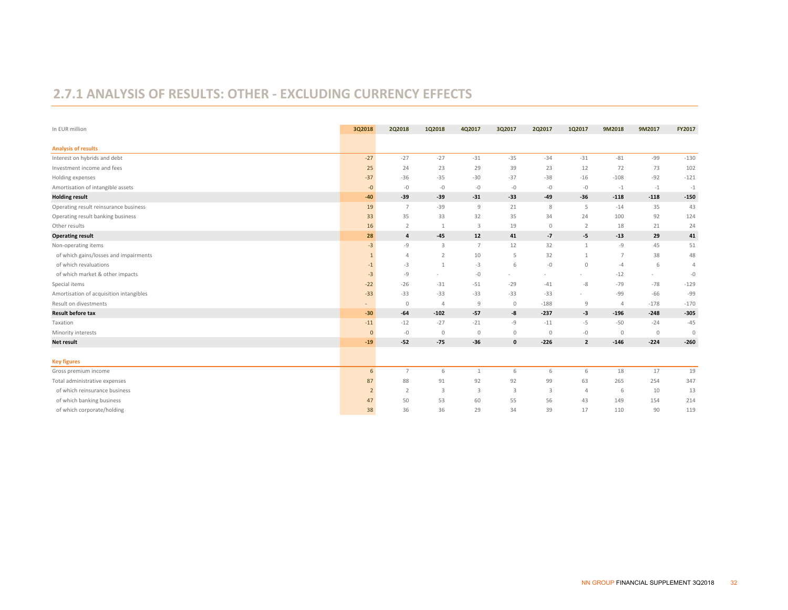#### **2.7.1 ANALYSIS OF RESULTS: OTHER ‐ EXCLUDING CURRENCY EFFECTS**

| In EUR million                          | 3Q2018   | 2Q2018         | 1Q2018         | 4Q2017                  | 3Q2017       | 2Q2017      | 1Q2017         | 9M2018         | 9M2017  | FY2017         |
|-----------------------------------------|----------|----------------|----------------|-------------------------|--------------|-------------|----------------|----------------|---------|----------------|
| <b>Analysis of results</b>              |          |                |                |                         |              |             |                |                |         |                |
| Interest on hybrids and debt            | $-27$    | $-27$          | $-27$          | $-31$                   | $-35$        | $-34$       | $-31$          | $-81$          | $-99$   | $-130$         |
| Investment income and fees              | 25       | 24             | 23             | 29                      | 39           | 23          | 12             | 72             | 73      | 102            |
| Holding expenses                        | $-37$    | $-36$          | $-35$          | $-30$                   | $-37$        | $-38$       | $-16$          | $-108$         | $-92$   | $-121$         |
| Amortisation of intangible assets       | $-0$     | $-0$           | $-0$           | $-0$                    | $-0$         | $-0$        | $-0$           | $-1$           | $-1$    | $-1$           |
| <b>Holding result</b>                   | $-40$    | $-39$          | $-39$          | $-31$                   | $-33$        | $-49$       | $-36$          | $-118$         | $-118$  | $-150$         |
| Operating result reinsurance business   | 19       | $\overline{7}$ | $-39$          | 9                       | 21           | 8           | -5             | $-14$          | 35      | 43             |
| Operating result banking business       | 33       | 35             | 33             | 32                      | 35           | 34          | 24             | 100            | 92      | 124            |
| Other results                           | 16       | $\overline{2}$ | 1              | 3                       | 19           | $\circ$     | 2              | 18             | 21      | 24             |
| <b>Operating result</b>                 | 28       | 4              | $-45$          | 12                      | 41           | $-7$        | $-5$           | $-13$          | 29      | 41             |
| Non-operating items                     | $-3$     | -9             | 3              | $\overline{7}$          | 12           | 32          | $\mathbf{1}$   | $-9$           | 45      | 51             |
| of which gains/losses and impairments   |          | $\overline{4}$ | $\overline{2}$ | 10                      | 5            | 32          |                | $\overline{7}$ | 38      | 48             |
| of which revaluations                   | $-1$     | $-3$           |                | $-3$                    | 6            | $-0-$       | $\mathbf{0}$   | $-4$           | 6       | $\overline{4}$ |
| of which market & other impacts         | $-3$     | -9             | $\sim$         | $-0$                    | $\sim$       |             | $\sim$         | $-12$          | $\sim$  | $-0$           |
| Special items                           | $-22$    | $-26$          | $-31$          | $-51$                   | $-29$        | $-41$       | -8             | $-79$          | $-78$   | $-129$         |
| Amortisation of acquisition intangibles | $-33$    | $-33$          | $-33$          | $-33$                   | $-33$        | $-33$       | $\sim$         | -99            | $-66$   | -99            |
| Result on divestments                   | $\sim$   | 0              | $\overline{4}$ | $9$                     | $\mathbb O$  | $-188$      | 9              | $\overline{4}$ | $-178$  | $-170$         |
| <b>Result before tax</b>                | $-30$    | $-64$          | $-102$         | $-57$                   | -8           | $-237$      | $-3$           | $-196$         | $-248$  | $-305$         |
| Taxation                                | $-11$    | $-12$          | $-27$          | $-21$                   | $-9$         | $-11$       | $-5$           | $-50$          | $-24$   | $-45$          |
| Minority interests                      | $\Omega$ | $-0$           | $\mathbf{0}$   | $\mathbb O$             | $\mathbf 0$  | $\mathbb O$ | -0             | $\circ$        | $\circ$ | $\mathbb O$    |
| <b>Net result</b>                       | $-19$    | $-52$          | $-75$          | $-36$                   | $\mathbf{0}$ | $-226$      | $\overline{2}$ | $-146$         | $-224$  | $-260$         |
| <b>Key figures</b>                      |          |                |                |                         |              |             |                |                |         |                |
| Gross premium income                    | 6        | $\overline{7}$ | 6              | $\mathbf{1}$            | 6            | 6           | 6              | 18             | 17      | 19             |
| Total administrative expenses           | 87       | 88             | 91             | 92                      | 92           | 99          | 63             | 265            | 254     | 347            |
| of which reinsurance business           | 2        | 2              | $\overline{3}$ | $\overline{\mathbf{3}}$ | 3            | 3           | $\overline{4}$ | 6              | 10      | 13             |
| of which banking business               | 47       | 50             | 53             | 60                      | 55           | 56          | 43             | 149            | 154     | 214            |
| of which corporate/holding              | 38       | 36             | 36             | 29                      | 34           | 39          | 17             | 110            | 90      | 119            |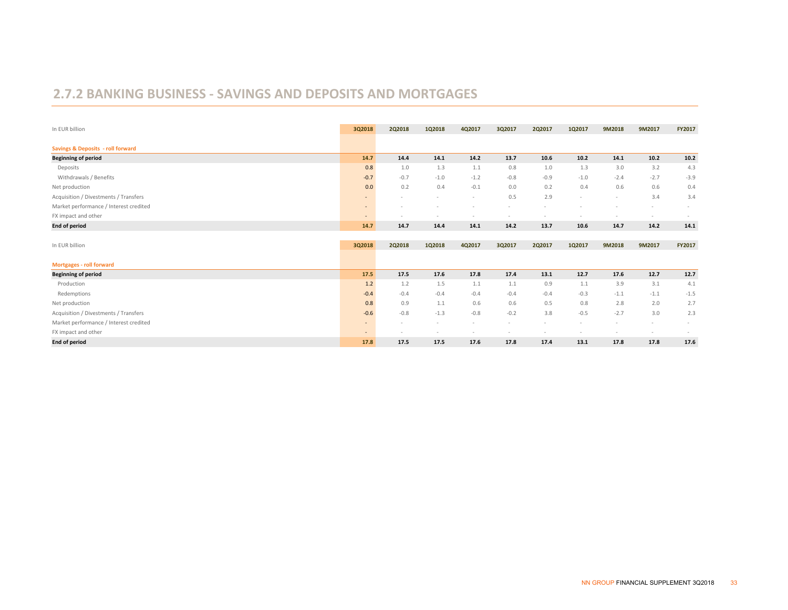#### **2.7.2 BANKING BUSINESS ‐ SAVINGS AND DEPOSITS AND MORTGAGES**

| In EUR billion                               | 3Q2018                   | <b>2Q2018</b> | 1Q2018 | 4Q2017 | 3Q2017 | 2Q2017 | 1Q2017 | 9M2018 | 9M2017                   | FY2017 |
|----------------------------------------------|--------------------------|---------------|--------|--------|--------|--------|--------|--------|--------------------------|--------|
| <b>Savings &amp; Deposits - roll forward</b> |                          |               |        |        |        |        |        |        |                          |        |
| <b>Beginning of period</b>                   | 14.7                     | 14.4          | 14.1   | 14.2   | 13.7   | 10.6   | 10.2   | 14.1   | 10.2                     | 10.2   |
| Deposits                                     | 0.8                      | 1.0           | 1.3    | 1.1    | 0.8    | 1.0    | 1.3    | 3.0    | 3.2                      | 4.3    |
| Withdrawals / Benefits                       | $-0.7$                   | $-0.7$        | $-1.0$ | $-1.2$ | $-0.8$ | $-0.9$ | $-1.0$ | $-2.4$ | $-2.7$                   | $-3.9$ |
| Net production                               | 0.0                      | 0.2           | 0.4    | $-0.1$ | 0.0    | 0.2    | 0.4    | 0.6    | 0.6                      | 0.4    |
| Acquisition / Divestments / Transfers        | $\qquad \qquad =\qquad$  |               | $\sim$ | $\sim$ | 0.5    | 2.9    | $\sim$ | $\sim$ | 3.4                      | 3.4    |
| Market performance / Interest credited       | $\overline{\phantom{a}}$ |               |        |        |        |        |        |        |                          |        |
| FX impact and other                          | $\overline{\phantom{a}}$ |               |        |        |        |        |        |        |                          |        |
| End of period                                | 14.7                     | 14.7          | 14.4   | 14.1   | 14.2   | 13.7   | 10.6   | 14.7   | 14.2                     | 14.1   |
|                                              |                          |               |        |        |        |        |        |        |                          |        |
| In EUR billion                               | 3Q2018                   | <b>2Q2018</b> | 1Q2018 | 4Q2017 | 3Q2017 | 2Q2017 | 1Q2017 | 9M2018 | 9M2017                   | FY2017 |
| <b>Mortgages - roll forward</b>              |                          |               |        |        |        |        |        |        |                          |        |
| <b>Beginning of period</b>                   | 17.5                     | 17.5          | 17.6   | 17.8   | 17.4   | 13.1   | 12.7   | 17.6   | 12.7                     | 12.7   |
| Production                                   | 1.2                      | 1.2           | 1.5    | 1.1    | 1.1    | 0.9    | 1.1    | 3.9    | 3.1                      | 4.1    |
| Redemptions                                  | $-0.4$                   | $-0.4$        | $-0.4$ | $-0.4$ | $-0.4$ | $-0.4$ | $-0.3$ | $-1.1$ | $-1.1$                   | $-1.5$ |
| Net production                               | 0.8                      | 0.9           | 1.1    | 0.6    | 0.6    | 0.5    | 0.8    | 2.8    | 2.0                      | 2.7    |
| Acquisition / Divestments / Transfers        | $-0.6$                   | $-0.8$        | $-1.3$ | $-0.8$ | $-0.2$ | 3.8    | $-0.5$ | $-2.7$ | 3.0                      | 2.3    |
| Market performance / Interest credited       | $\sim$                   |               |        |        |        |        |        |        |                          |        |
| FX impact and other                          | $\overline{\phantom{m}}$ |               |        |        |        |        |        |        | $\overline{\phantom{a}}$ |        |
| End of period                                | 17.8                     | 17.5          | 17.5   | 17.6   | 17.8   | 17.4   | 13.1   | 17.8   | 17.8                     | 17.6   |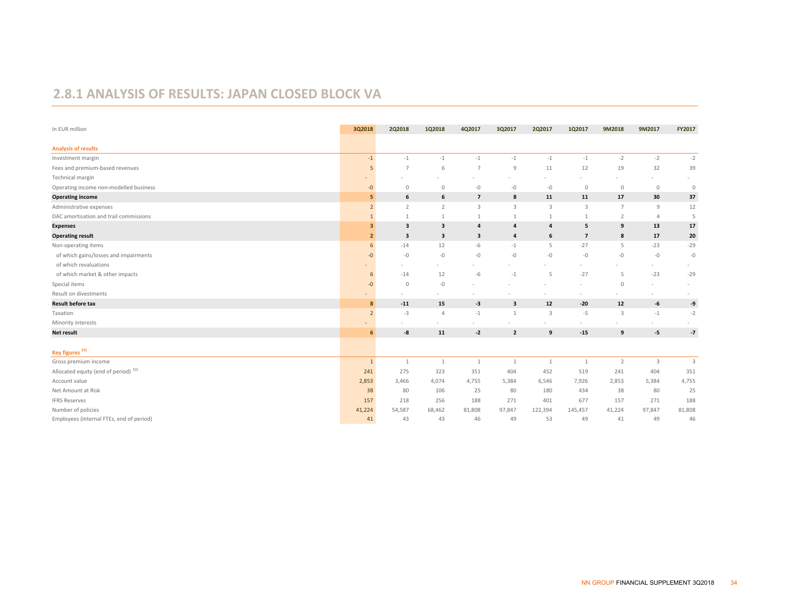#### **2.8.1 ANALYSIS OF RESULTS: JAPAN CLOSED BLOCK VA**

| In EUR million                           | 3Q2018         | 2Q2018         | 1Q2018         | 4Q2017         | 3Q2017         | 2Q2017           | 1Q2017         | 9M2018         | 9M2017         | FY2017                  |
|------------------------------------------|----------------|----------------|----------------|----------------|----------------|------------------|----------------|----------------|----------------|-------------------------|
|                                          |                |                |                |                |                |                  |                |                |                |                         |
| <b>Analysis of results</b>               |                |                |                |                |                |                  |                |                |                |                         |
| Investment margin                        | $-1$           | $-1$           | $-1$           | $-1$           | $-1$           | $-1$             | $-1$           | $-2$           | $-2$           | $-2$                    |
| Fees and premium-based revenues          | 5              | $\overline{7}$ | 6              | $\overline{7}$ | 9              | 11               | 12             | 19             | 32             | 39                      |
| Technical margin                         |                |                |                |                |                |                  |                |                |                |                         |
| Operating income non-modelled business   | $-0$           | $\mathbb O$    | $\mathbb O$    | $-0$           | $-0$           | $-0$             | $\mathbb O$    | $\circ$        | $\mathbb O$    | $\circ$                 |
| <b>Operating income</b>                  | 5              | 6              | 6              | $\overline{7}$ | 8              | 11               | 11             | 17             | 30             | 37                      |
| Administrative expenses                  | $\overline{2}$ | $\overline{2}$ | $\overline{2}$ | $\overline{3}$ | $\mathbf{3}$   | $\overline{3}$   | $\overline{3}$ | $\overline{7}$ | 9              | 12                      |
| DAC amortisation and trail commissions   | $\mathbf{1}$   | $\mathbf{1}$   | $\mathbf{1}$   | $\mathbf{1}$   | 1              | 1                | $\mathbf{1}$   | $\overline{2}$ | $\overline{4}$ | 5                       |
| <b>Expenses</b>                          | 3              | 3              | 3              | $\overline{a}$ | 4              | $\overline{a}$   | 5              | 9              | 13             | 17                      |
| <b>Operating result</b>                  | $\overline{2}$ | 3              | 3              | 3              | 4              | 6                | $\overline{7}$ | 8              | 17             | 20                      |
| Non-operating items                      | 6              | $-14$          | 12             | $-6$           | $-1$           | 5                | $-27$          | 5              | $-23$          | $-29$                   |
| of which gains/losses and impairments    | $-0$           | $-0$           | $-0$           | $-0$           | $-0$           | $-0$             | $-0$           | $-0$           | $-0$           | $-0$                    |
| of which revaluations                    |                |                |                |                |                |                  |                |                | $\sim$         |                         |
| of which market & other impacts          | 6              | $-14$          | 12             | $-6$           | $-1$           | 5                | $-27$          | 5              | $-23$          | $-29$                   |
| Special items                            | $-0$           | $\theta$       | $-0$           |                |                |                  |                | $\circ$        | ٠              |                         |
| Result on divestments                    | ٠              |                |                |                |                |                  |                |                |                |                         |
| <b>Result before tax</b>                 | 8              | $-11$          | 15             | -3             | 3              | 12               | $-20$          | 12             | -6             | -9                      |
| Taxation                                 | $\overline{2}$ | $-3$           | 4              | $-1$           | $\mathbf{1}$   | $\overline{3}$   | $-5$           | $\overline{3}$ | $-1$           | $-2$                    |
| Minority interests                       |                |                |                |                |                |                  |                |                |                |                         |
| Net result                               | 6              | -8             | 11             | $-2$           | $\overline{2}$ | $\boldsymbol{9}$ | $-15$          | 9              | $-5$           | $-7$                    |
| Key figures <sup>25)</sup>               |                |                |                |                |                |                  |                |                |                |                         |
| Gross premium income                     | $\mathbf{1}$   | $\mathbf{1}$   | $\mathbf{1}$   | $\mathbf{1}$   | $\mathbf{1}$   | $\mathbf{1}$     | $\mathbf{1}$   | $\overline{2}$ | 3              | $\overline{\mathbf{3}}$ |
| Allocated equity (end of period) 32)     | 241            | 275            | 323            | 351            | 404            | 452              | 519            | 241            | 404            | 351                     |
| Account value                            | 2,853          | 3,466          | 4,074          | 4,755          | 5,384          | 6,546            | 7,926          | 2,853          | 5,384          | 4,755                   |
| Net Amount at Risk                       | 38             | 80             | 106            | 25             | 80             | 180              | 434            | 38             | 80             | 25                      |
| <b>IFRS Reserves</b>                     | 157            | 218            | 256            | 188            | 271            | 401              | 677            | 157            | 271            | 188                     |
| Number of policies                       | 41,224         | 54,587         | 68,462         | 81,808         | 97,847         | 122,394          | 145,457        | 41,224         | 97,847         | 81,808                  |
| Employees (internal FTEs, end of period) | 41             | 43             | 43             | 46             | 49             | 53               | 49             | 41             | 49             | 46                      |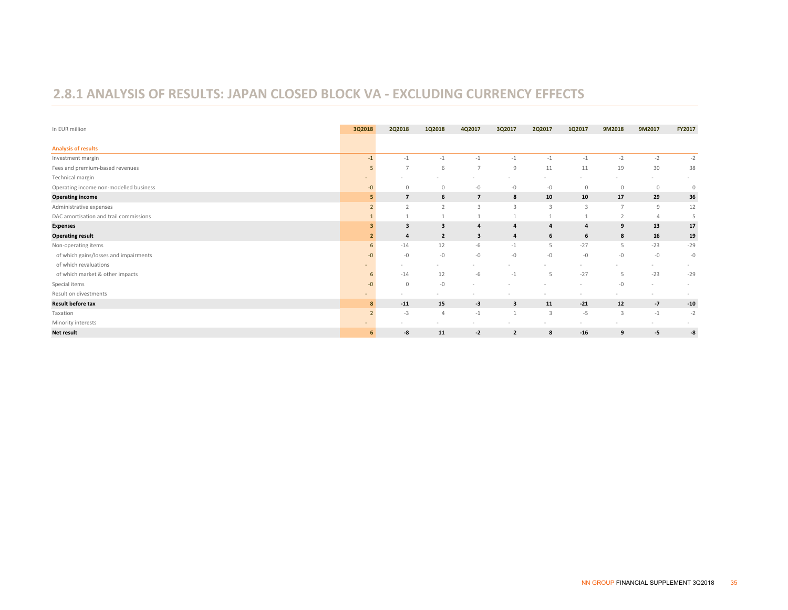#### **2.8.1 ANALYSIS OF RESULTS: JAPAN CLOSED BLOCK VA ‐ EXCLUDING CURRENCY EFFECTS**

| In EUR million                         | 3Q2018                   | 2Q2018         | 1Q2018                  | 4Q2017         | 3Q2017                  | 2Q2017                  | 1Q2017         | 9M2018         | 9M2017      | FY2017  |
|----------------------------------------|--------------------------|----------------|-------------------------|----------------|-------------------------|-------------------------|----------------|----------------|-------------|---------|
|                                        |                          |                |                         |                |                         |                         |                |                |             |         |
| <b>Analysis of results</b>             |                          |                |                         |                |                         |                         |                |                |             |         |
| Investment margin                      | $-1$                     | $-1$           | $-1$                    | $-1$           | $-1$                    | $-1$                    | $-1$           | $-2$           | $-2$        | $-2$    |
| Fees and premium-based revenues        | 5                        | $\overline{7}$ | 6                       | $\overline{7}$ | 9                       | 11                      | 11             | 19             | 30          | 38      |
| Technical margin                       |                          |                |                         |                |                         |                         |                |                |             |         |
| Operating income non-modelled business | $-0$                     | $\Omega$       | $\mathbf{0}$            | $-0$           | $-0$                    | $-0$                    | $\mathbf 0$    | $\circ$        | $\mathbf 0$ | $\circ$ |
| <b>Operating income</b>                |                          | $\overline{7}$ | 6                       | $\overline{7}$ | 8                       | 10                      | 10             | 17             | 29          | 36      |
| Administrative expenses                | $\mathcal{L}$            | $\overline{2}$ | $\overline{2}$          | 3              | $\overline{\mathbf{3}}$ | $\overline{3}$          | $\overline{3}$ | $\overline{7}$ | 9           | 12      |
| DAC amortisation and trail commissions |                          |                |                         |                |                         |                         |                | $\overline{2}$ |             | 5       |
| <b>Expenses</b>                        |                          | 3              | $\overline{\mathbf{3}}$ | $\overline{a}$ | $\overline{a}$          | $\overline{a}$          | 4              | 9              | 13          | 17      |
| <b>Operating result</b>                |                          | 4              | $\overline{2}$          | 3              | $\overline{a}$          | 6                       | 6              | 8              | 16          | 19      |
| Non-operating items                    | 6                        | $-14$          | 12                      | -6             | $-1$                    | 5                       | $-27$          | 5              | $-23$       | $-29$   |
| of which gains/losses and impairments  | $-0$                     | $-0$           | $-0-$                   | $-0$           | $-0$                    | $-0$                    | $-0$           | $-0$           | $-0$        | $-0$    |
| of which revaluations                  |                          |                |                         |                |                         |                         |                |                | $\sim$      |         |
| of which market & other impacts        | b                        | $-14$          | 12                      | $-6$           | $-1$                    | 5                       | $-27$          | 5              | $-23$       | $-29$   |
| Special items                          | $-0$                     | $\circ$        | $-0-$                   |                |                         |                         | ٠              | $-0$           | $\sim$      | $\sim$  |
| Result on divestments                  | $\overline{\phantom{a}}$ |                |                         |                |                         |                         | ۰              |                | $\sim$      |         |
| <b>Result before tax</b>               | 8                        | $-11$          | 15                      | -3             | 3                       | 11                      | $-21$          | 12             | $-7$        | $-10$   |
| Taxation                               | $\overline{2}$           | $-3$           | $\Delta$                | $-1$           | $\overline{1}$          | $\overline{\mathbf{3}}$ | $-5$           | $\overline{3}$ | $-1$        | $-2$    |
| Minority interests                     | $\overline{a}$           |                |                         |                |                         |                         |                |                | $\sim$      |         |
| <b>Net result</b>                      | 6                        | -8             | 11                      | $-2$           | $\overline{2}$          | 8                       | $-16$          | 9              | -5          | -8      |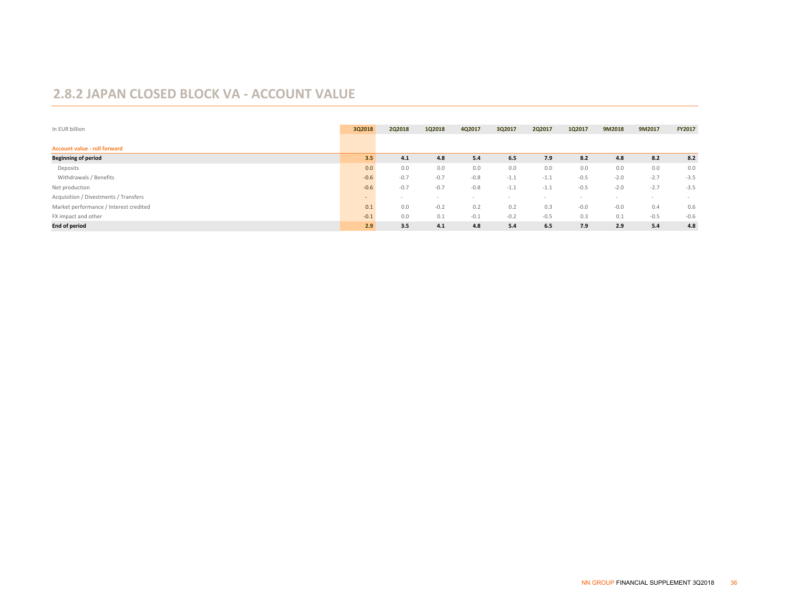#### **2.8.2 JAPAN CLOSED BLOCK VA ‐ ACCOUNT VALUE**

| In EUR billion                         | 3Q2018 | 2Q2018 | 1Q2018 | 4Q2017 | 3Q2017 | 2Q2017 | 1Q2017                   | 9M2018 | 9M2017 | <b>FY2017</b> |
|----------------------------------------|--------|--------|--------|--------|--------|--------|--------------------------|--------|--------|---------------|
|                                        |        |        |        |        |        |        |                          |        |        |               |
| Account value - roll forward           |        |        |        |        |        |        |                          |        |        |               |
| <b>Beginning of period</b>             | 3.5    | 4.1    | 4.8    | 5.4    | 6.5    | 7.9    | 8.2                      | 4.8    | 8.2    | 8.2           |
| Deposits                               | 0.0    | 0.0    | 0.0    | 0.0    | 0.0    | 0.0    | 0.0                      | 0.0    | 0.0    | 0.0           |
| Withdrawals / Benefits                 | $-0.6$ | $-0.7$ | $-0.7$ | $-0.8$ | $-1.1$ | $-1.1$ | $-0.5$                   | $-2.0$ | $-2.7$ | $-3.5$        |
| Net production                         | $-0.6$ | $-0.7$ | $-0.7$ | $-0.8$ | $-1.1$ | $-1.1$ | $-0.5$                   | $-2.0$ | $-2.7$ | $-3.5$        |
| Acquisition / Divestments / Transfers  | $\sim$ | $\sim$ | $\sim$ |        |        |        | $\overline{\phantom{a}}$ |        | $\sim$ |               |
| Market performance / Interest credited | 0.1    | 0.0    | $-0.2$ | 0.2    | 0.2    | 0.3    | $-0.0$                   | $-0.0$ | 0.4    | 0.6           |
| FX impact and other                    | $-0.1$ | 0.0    | 0.1    | $-0.1$ | $-0.2$ | $-0.5$ | 0.3                      | 0.1    | $-0.5$ | $-0.6$        |
| <b>End of period</b>                   | 2.9    | 3.5    | 4.1    | 4.8    | 5.4    | 6.5    | 7.9                      | 2.9    | 5.4    | 4.8           |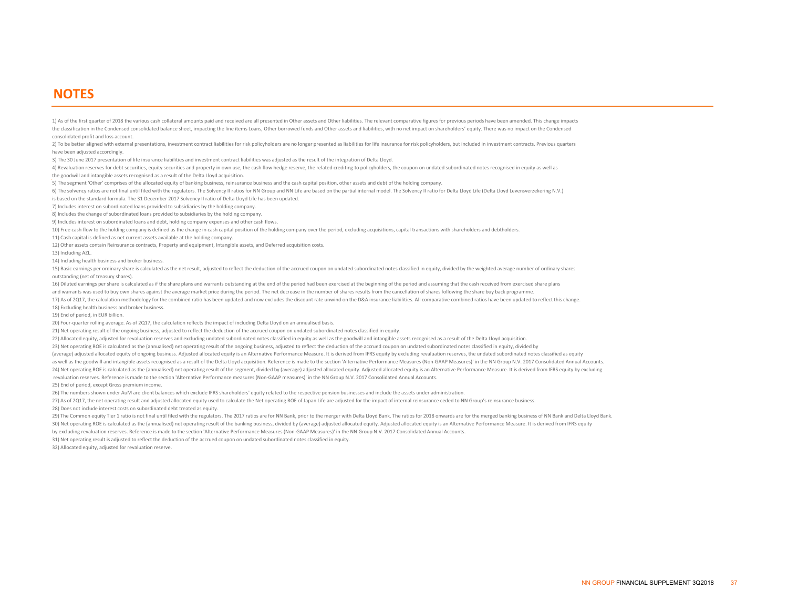#### **NOTES**

1) As of the first quarter of 2018 the various cash collateral amounts paid and received are all presented in Other assets and Other liabilities. The relevant comparative figures for previous periods have been amended. Thi the classification in the Condensed consolidated balance sheet, impacting the line items Loans, Other borrowed funds and Other assets and liabilities, with no net impact on shareholders' equity. There was no impact on the consolidated profit and loss account.

2) To be better aligned with external presentations, investment contract liabilities for risk policyholders are no longer presented as liabilities for life insurance for risk policyholders, but included in investment contr have been adjusted accordingly.

3) The 30 June 2017 presentation of life insurance liabilities and investment contract liabilities was adjusted as the result of the integration of Delta Lloyd.

4) Revaluation reserves for debt securities, equity securities and property in own use, the cash flow hedge reserve, the related crediting to policyholders, the coupon on undated subordinated notes recognised in equity as

the goodwill and intangible assets recognised as a result of the Delta Lloyd acquisition.

5) The segment 'Other' comprises of the allocated equity of banking business, reinsurance business and the cash capital position, other assets and debt of the holding company.

is based on the standard formula. The 31 December 2017 Solvency II ratio of Delta Lloyd Life has been updated. 6) The solvency ratios are not final until filed with the regulators. The Solvency II ratios for NN Group and NN Life are based on the partial internal model. The Solvency II ratio for Delta Lloyd Life (Delta Lloyd Levensv

7) Includes interest on subordinated loans provided to subsidiaries by the holding company.

8) Includes the change of subordinated loans provided to subsidiaries by the holding company.

9) Includes interest on subordinated loans and debt, holding company expenses and other cash flows.

10) Free cash flow to the holding company is defined as the change in cash capital position of the holding company over the period, excluding acquisitions, capital transactions with shareholders and debtholders.

11) Cash capital is defined as net current assets available at the holding company.

12) Other assets contain Reinsurance contracts, Property and equipment, Intangible assets, and Deferred acquisition costs.

13) Including AZL.

14) Including health business and broker business.

15) Basic earnings per ordinary share is calculated as the net result, adjusted to reflect the deduction of the accrued coupon on undated subordinated notes classified in equity, divided by the weighted average number of o outstanding (net of treasury shares).

16) Diluted earnings per share is calculated as if the share plans and warrants outstanding at the end of the period had been exercised at the beginning of the period and assuming that the cash received from exercised shar and warrants was used to buy own shares against the average market price during the period. The net decrease in the number of shares results from the cancellation of shares following the share buy back programme.

17) As of 2017, the calculation methodology for the combined ratio has been updated and now excludes the discount rate unwind on the D&A insurance liabilities. All comparative combined ratios have been updated to reflect t 18) Excluding health business and broker business.

19) End of period, in EUR billion.

20) Four-quarter rolling average. As of 2Q17, the calculation reflects the impact of including Delta Lloyd on an annualised basis.

21) Net operating result of the ongoing business, adjusted to reflect the deduction of the accrued coupon on undated subordinated notes classified in equity.

22) Allocated equity, adjusted for revaluation reserves and excluding undated subordinated notes classified in equity as well as the goodwill and intangible assets recognised as a result of the Delta Lloyd acquisition.

23) Net operating ROE is calculated as the (annualised) net operating result of the ongoing business, adjusted to reflect the deduction of the accrued coupon on undated subordinated notes classified in equity, divided by

(average) adjusted allocated equity of ongoing business. Adjusted allocated equity is an Alternative Performance Measure. It is derived from IFRS equity by excluding revaluation reserves, the undated subordinated notes cla 24) Net operating ROE is calculated as the (annualised) net operating result of the segment, divided by (average) adjusted allocated equity. Adjusted allocated equity is an Alternative Performance Measure. It is derived fr revaluation reserves. Reference is made to the section 'Alternative Performance measures (Non‐GAAP measures)' in the NN Group N.V. 2017 Consolidated Annual Accounts. as well as the goodwill and intangible assets recognised as a result of the Delta Lloyd acquisition. Reference is made to the section 'Alternative Performance Measures (Non-GAAP Measures)' in the NN Group N.V. 2017 Consoli

25) End of period, except Gross premium income.

26) The numbers shown under AuM are client balances which exclude IFRS shareholders' equity related to the respective pension businesses and include the assets under administration.

27) As of 2017, the net operating result and adjusted allocated equity used to calculate the Net operating ROE of Japan Life are adjusted for the impact of internal reinsurance ceded to NN Group's reinsurance business.

28) Does not include interest costs on subordinated debt treated as equity.

30) Net operating ROE is calculated as the (annualised) net operating result of the banking business, divided by (average) adjusted allocated equity. Adjusted allocated equity is an Alternative Performance Measure. It is d by excluding revaluation reserves. Reference is made to the section 'Alternative Performance Measures (Non‐GAAP Measures)' in the NN Group N.V. 2017 Consolidated Annual Accounts. 29) The Common equity Tier 1 ratio is not final until filed with the regulators. The 2017 ratios are for NN Bank, prior to the merger with Delta Lloyd Bank. The ratios for 2018 onwards are for the merged banking business o

31) Net operating result is adjusted to reflect the deduction of the accrued coupon on undated subordinated notes classified in equity.

32) Allocated equity, adjusted for revaluation reserve.